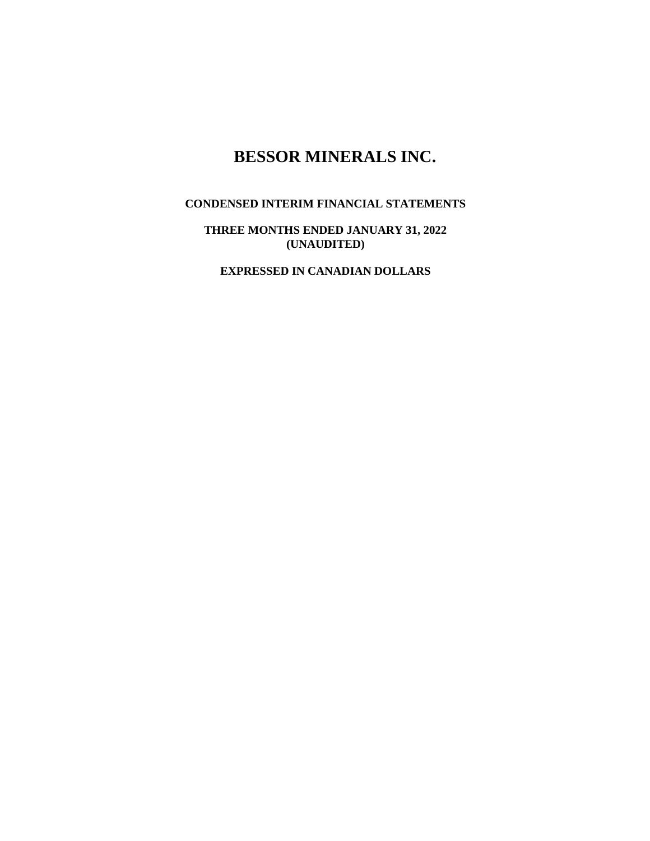# **BESSOR MINERALS INC.**

# **CONDENSED INTERIM FINANCIAL STATEMENTS**

**THREE MONTHS ENDED JANUARY 31, 2022 (UNAUDITED)**

**EXPRESSED IN CANADIAN DOLLARS**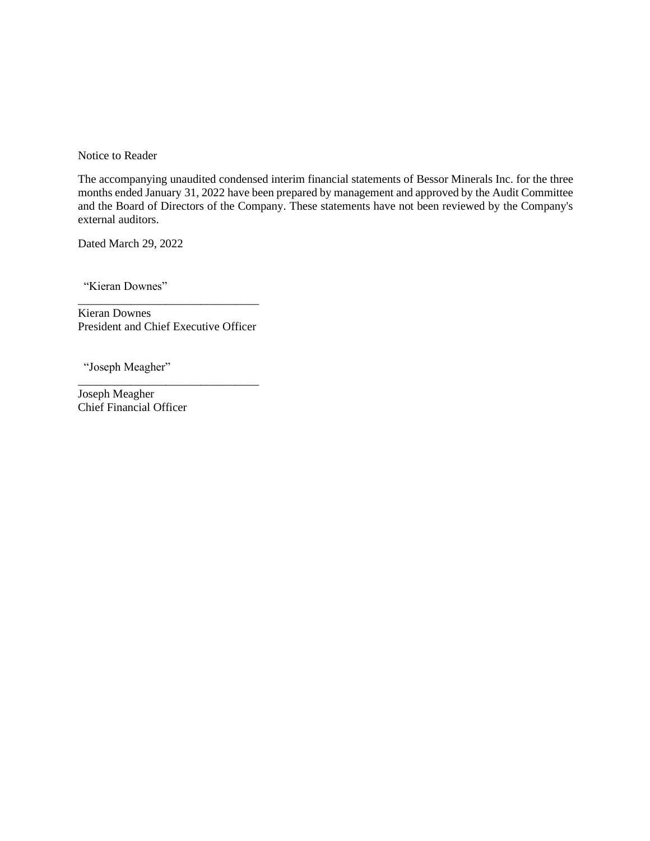Notice to Reader

The accompanying unaudited condensed interim financial statements of Bessor Minerals Inc. for the three months ended January 31, 2022 have been prepared by management and approved by the Audit Committee and the Board of Directors of the Company. These statements have not been reviewed by the Company's external auditors.

Dated March 29, 2022

"Kieran Downes"

\_\_\_\_\_\_\_\_\_\_\_\_\_\_\_\_\_\_\_\_\_\_\_\_\_\_\_\_\_\_\_ Kieran Downes President and Chief Executive Officer

\_\_\_\_\_\_\_\_\_\_\_\_\_\_\_\_\_\_\_\_\_\_\_\_\_\_\_\_\_\_\_

"Joseph Meagher"

Joseph Meagher Chief Financial Officer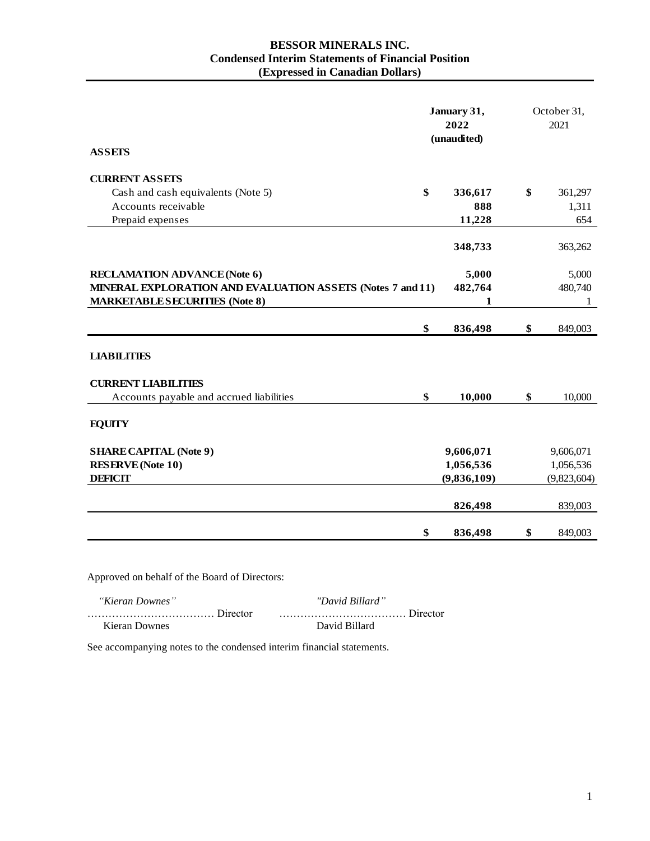## **BESSOR MINERALS INC. Condensed Interim Statements of Financial Position (Expressed in Canadian Dollars)**

|                                                            |    | January 31,<br>2022<br>(unaudited) | October 31,<br>2021 |  |
|------------------------------------------------------------|----|------------------------------------|---------------------|--|
| <b>ASSETS</b>                                              |    |                                    |                     |  |
| <b>CURRENT ASSETS</b>                                      |    |                                    |                     |  |
| Cash and cash equivalents (Note 5)                         | \$ | 336,617                            | \$<br>361,297       |  |
| Accounts receivable                                        |    | 888                                | 1,311               |  |
| Prepaid expenses                                           |    | 11,228                             | 654                 |  |
|                                                            |    | 348,733                            | 363,262             |  |
|                                                            |    |                                    |                     |  |
| <b>RECLAMATION ADVANCE (Note 6)</b>                        |    | 5,000                              | 5,000               |  |
| MINERAL EXPLORATION AND EVALUATION ASSETS (Notes 7 and 11) |    | 482,764                            | 480,740             |  |
| <b>MARKETABLE SECURITIES (Note 8)</b>                      |    | 1                                  | 1                   |  |
|                                                            |    |                                    |                     |  |
|                                                            | \$ | 836,498                            | \$<br>849,003       |  |
| <b>LIABILITIES</b>                                         |    |                                    |                     |  |
|                                                            |    |                                    |                     |  |
| <b>CURRENT LIABILITIES</b>                                 |    |                                    |                     |  |
| Accounts payable and accrued liabilities                   | \$ | 10,000                             | \$<br>10,000        |  |
| <b>EQUITY</b>                                              |    |                                    |                     |  |
|                                                            |    |                                    |                     |  |
| <b>SHARE CAPITAL (Note 9)</b>                              |    | 9,606,071                          | 9,606,071           |  |
| <b>RESERVE</b> (Note 10)                                   |    | 1,056,536                          | 1,056,536           |  |
| <b>DEFICIT</b>                                             |    | (9,836,109)                        | (9,823,604)         |  |
|                                                            |    |                                    |                     |  |
|                                                            |    | 826,498                            | 839,003             |  |
|                                                            | \$ | 836,498                            | \$<br>849,003       |  |
|                                                            |    |                                    |                     |  |

Approved on behalf of the Board of Directors:

 *"Kieran Downes" "David Billard"* ……………………………… Director ……………………………… Director Kieran Downes David Billard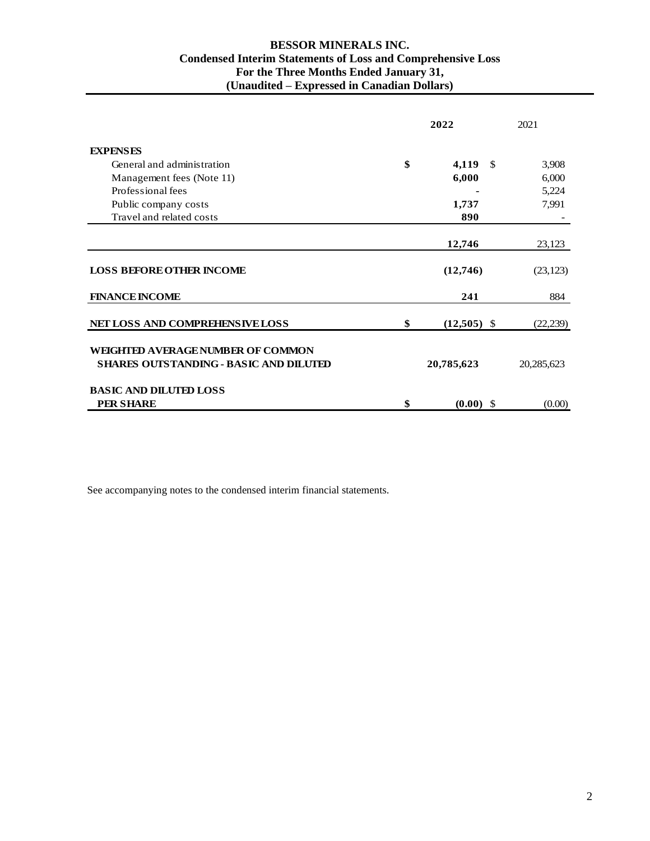# **BESSOR MINERALS INC. Condensed Interim Statements of Loss and Comprehensive Loss For the Three Months Ended January 31, (Unaudited – Expressed in Canadian Dollars)**

|                                               | 2022 |                       | 2021       |
|-----------------------------------------------|------|-----------------------|------------|
| <b>EXPENSES</b>                               |      |                       |            |
| General and administration                    | \$   | 4,119<br>$\mathbf{s}$ | 3,908      |
| Management fees (Note 11)                     |      | 6,000                 | 6,000      |
| Professional fees                             |      |                       | 5,224      |
| Public company costs                          |      | 1,737                 | 7,991      |
| Travel and related costs                      |      | 890                   |            |
|                                               |      |                       |            |
|                                               |      | 12,746                | 23,123     |
| <b>LOSS BEFORE OTHER INCOME</b>               |      | (12,746)              | (23, 123)  |
| <b>FINANCE INCOME</b>                         |      | 241                   | 884        |
| <b>NET LOSS AND COMPREHENSIVE LOSS</b>        | \$   | $(12,505)$ \$         | (22, 239)  |
| WEIGHTED AVERAGE NUMBER OF COMMON             |      |                       |            |
| <b>SHARES OUTSTANDING - BASIC AND DILUTED</b> |      | 20,785,623            | 20,285,623 |
| <b>BASIC AND DILUTED LOSS</b>                 |      |                       |            |
| <b>PER SHARE</b>                              | \$   | $(0.00)$ \$           | (0.00)     |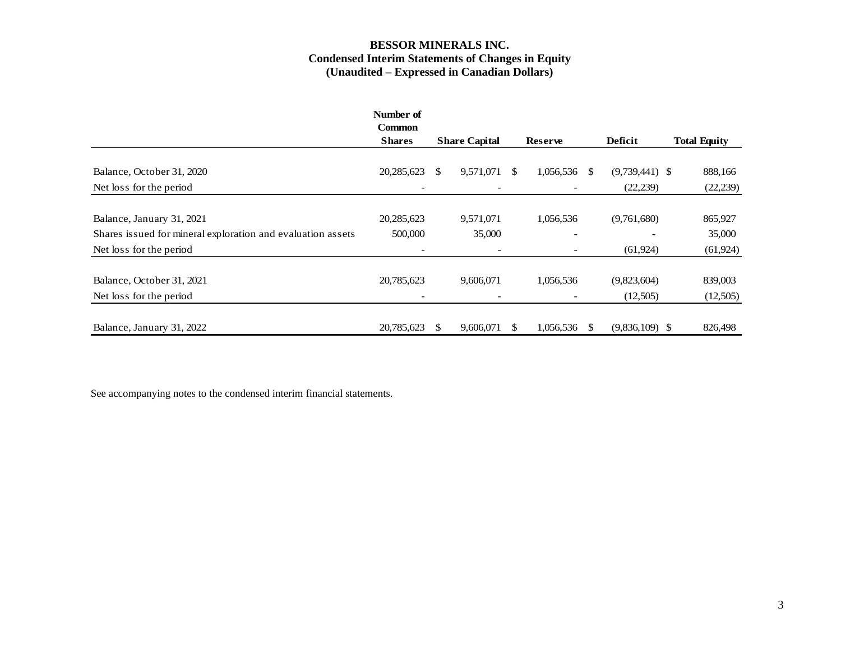## **BESSOR MINERALS INC. Condensed Interim Statements of Changes in Equity (Unaudited – Expressed in Canadian Dollars)**

|                                                             | Number of<br><b>Common</b> |                      |                          |                |                          |               |                  |                     |
|-------------------------------------------------------------|----------------------------|----------------------|--------------------------|----------------|--------------------------|---------------|------------------|---------------------|
|                                                             | <b>Shares</b>              | <b>Share Capital</b> |                          | <b>Reserve</b> |                          | Deficit       |                  | <b>Total Equity</b> |
|                                                             |                            |                      |                          |                |                          |               |                  |                     |
| Balance, October 31, 2020                                   | 20,285,623                 | <sup>\$</sup>        | 9,571,071                | \$.            | 1,056,536                | <sup>\$</sup> | $(9,739,441)$ \$ | 888,166             |
| Net loss for the period                                     |                            |                      |                          |                | $\qquad \qquad$          |               | (22, 239)        | (22, 239)           |
|                                                             |                            |                      |                          |                |                          |               |                  |                     |
| Balance, January 31, 2021                                   | 20,285,623                 |                      | 9,571,071                |                | 1,056,536                |               | (9,761,680)      | 865,927             |
| Shares issued for mineral exploration and evaluation assets | 500,000                    |                      | 35,000                   |                | $\overline{\phantom{a}}$ |               |                  | 35,000              |
| Net loss for the period                                     |                            |                      | $\overline{\phantom{a}}$ |                | $\overline{\phantom{0}}$ |               | (61, 924)        | (61, 924)           |
|                                                             |                            |                      |                          |                |                          |               |                  |                     |
| Balance, October 31, 2021                                   | 20,785,623                 |                      | 9,606,071                |                | 1,056,536                |               | (9,823,604)      | 839,003             |
| Net loss for the period                                     |                            |                      |                          |                | $\qquad \qquad$          |               | (12,505)         | (12,505)            |
|                                                             |                            |                      |                          |                |                          |               |                  |                     |
| Balance, January 31, 2022                                   | 20,785,623                 | <b>S</b>             | 9,606,071                | \$.            | 1,056,536                | \$.           | $(9,836,109)$ \$ | 826,498             |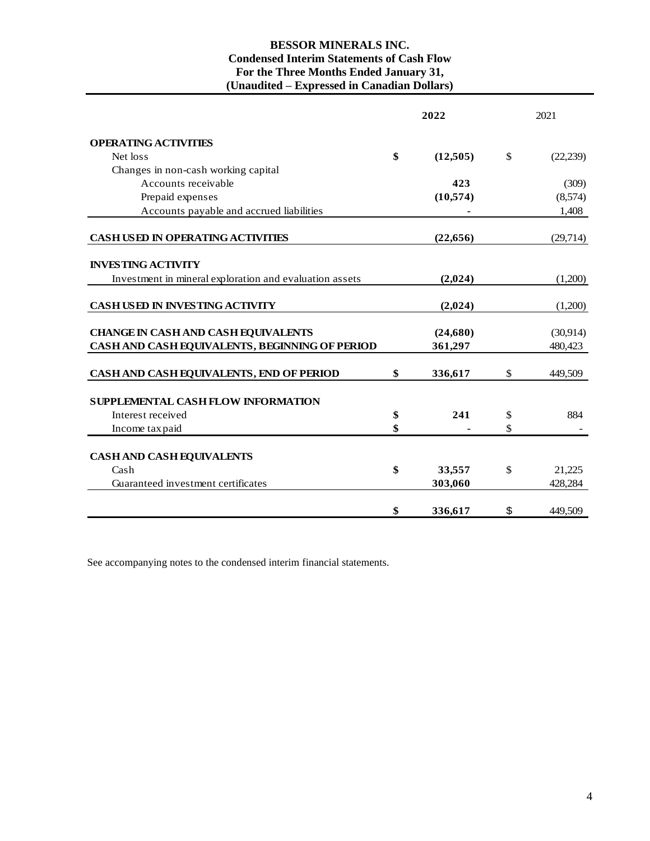# **BESSOR MINERALS INC. Condensed Interim Statements of Cash Flow For the Three Months Ended January 31, (Unaudited – Expressed in Canadian Dollars)**

|                                                         | 2022           |              | 2021      |
|---------------------------------------------------------|----------------|--------------|-----------|
| <b>OPERATING ACTIVITIES</b>                             |                |              |           |
| Net loss                                                | \$<br>(12,505) | $\mathbb{S}$ | (22, 239) |
| Changes in non-cash working capital                     |                |              |           |
| Accounts receivable                                     | 423            |              | (309)     |
| Prepaid expenses                                        | (10,574)       |              | (8,574)   |
| Accounts payable and accrued liabilities                |                |              | 1,408     |
| <b>CASH USED IN OPERATING ACTIVITIES</b>                | (22, 656)      |              | (29,714)  |
| <b>INVESTING ACTIVITY</b>                               |                |              |           |
| Investment in mineral exploration and evaluation assets | (2,024)        |              | (1,200)   |
| <b>CASH USED IN INVESTING ACTIVITY</b>                  | (2,024)        |              | (1,200)   |
| <b>CHANGE IN CASH AND CASH EQUIVALENTS</b>              | (24,680)       |              | (30,914)  |
| CASH AND CASH EQUIVALENTS, BEGINNING OF PERIOD          | 361,297        |              | 480,423   |
| CASH AND CASH EQUIVALENTS, END OF PERIOD                | \$<br>336,617  | \$           | 449,509   |
| <b>SUPPLEMENTAL CASH FLOW INFORMATION</b>               |                |              |           |
| Interest received                                       | \$<br>241      | \$           | 884       |
| Income tax paid                                         | \$             | \$           |           |
| <b>CASH AND CASH EQUIVALENTS</b>                        |                |              |           |
| Cash                                                    | \$<br>33,557   | \$           | 21,225    |
| Guaranteed investment certificates                      | 303,060        |              | 428,284   |
|                                                         | \$<br>336,617  | \$           | 449,509   |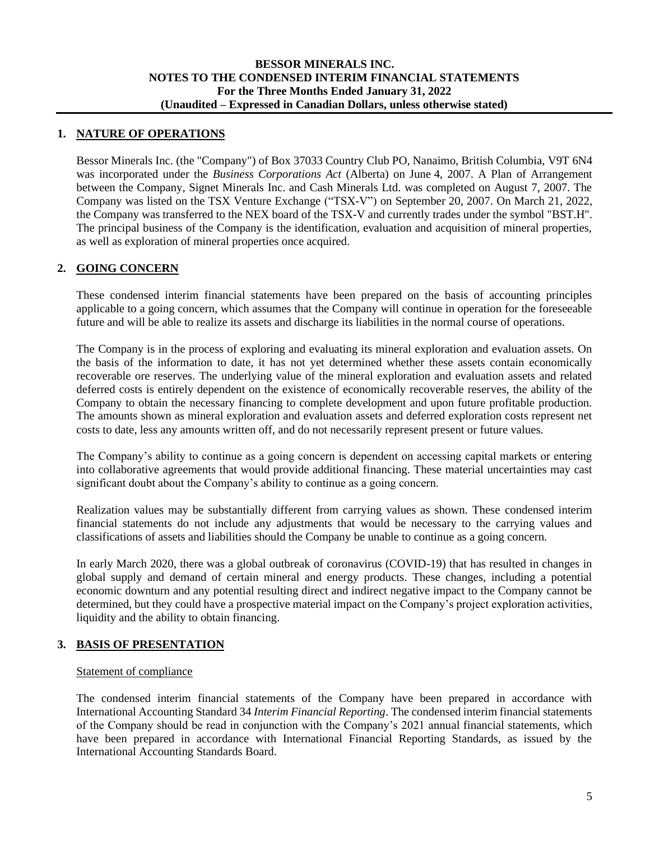## **1. NATURE OF OPERATIONS**

Bessor Minerals Inc. (the "Company") of Box 37033 Country Club PO, Nanaimo, British Columbia, V9T 6N4 was incorporated under the *Business Corporations Act* (Alberta) on June 4, 2007. A Plan of Arrangement between the Company, Signet Minerals Inc. and Cash Minerals Ltd. was completed on August 7, 2007. The Company was listed on the TSX Venture Exchange ("TSX-V") on September 20, 2007. On March 21, 2022, the Company was transferred to the NEX board of the TSX-V and currently trades under the symbol "BST.H". The principal business of the Company is the identification, evaluation and acquisition of mineral properties, as well as exploration of mineral properties once acquired.

# **2. GOING CONCERN**

These condensed interim financial statements have been prepared on the basis of accounting principles applicable to a going concern, which assumes that the Company will continue in operation for the foreseeable future and will be able to realize its assets and discharge its liabilities in the normal course of operations.

The Company is in the process of exploring and evaluating its mineral exploration and evaluation assets. On the basis of the information to date, it has not yet determined whether these assets contain economically recoverable ore reserves. The underlying value of the mineral exploration and evaluation assets and related deferred costs is entirely dependent on the existence of economically recoverable reserves, the ability of the Company to obtain the necessary financing to complete development and upon future profitable production. The amounts shown as mineral exploration and evaluation assets and deferred exploration costs represent net costs to date, less any amounts written off, and do not necessarily represent present or future values.

The Company's ability to continue as a going concern is dependent on accessing capital markets or entering into collaborative agreements that would provide additional financing. These material uncertainties may cast significant doubt about the Company's ability to continue as a going concern.

Realization values may be substantially different from carrying values as shown. These condensed interim financial statements do not include any adjustments that would be necessary to the carrying values and classifications of assets and liabilities should the Company be unable to continue as a going concern.

In early March 2020, there was a global outbreak of coronavirus (COVID-19) that has resulted in changes in global supply and demand of certain mineral and energy products. These changes, including a potential economic downturn and any potential resulting direct and indirect negative impact to the Company cannot be determined, but they could have a prospective material impact on the Company's project exploration activities, liquidity and the ability to obtain financing.

## **3. BASIS OF PRESENTATION**

#### Statement of compliance

The condensed interim financial statements of the Company have been prepared in accordance with International Accounting Standard 34 *Interim Financial Reporting*. The condensed interim financial statements of the Company should be read in conjunction with the Company's 2021 annual financial statements, which have been prepared in accordance with International Financial Reporting Standards, as issued by the International Accounting Standards Board.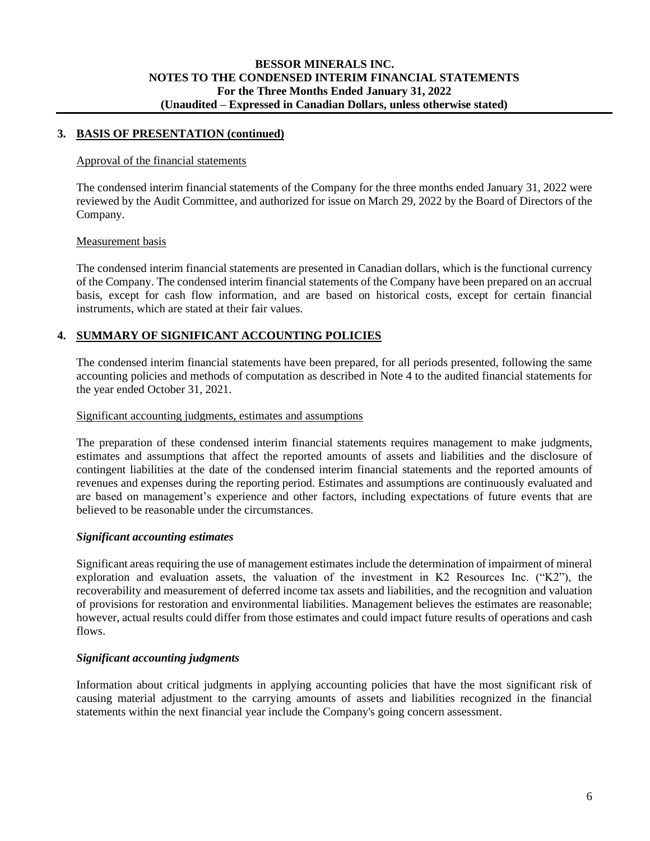# **3. BASIS OF PRESENTATION (continued)**

# Approval of the financial statements

The condensed interim financial statements of the Company for the three months ended January 31, 2022 were reviewed by the Audit Committee, and authorized for issue on March 29, 2022 by the Board of Directors of the Company.

#### Measurement basis

The condensed interim financial statements are presented in Canadian dollars, which is the functional currency of the Company. The condensed interim financial statements of the Company have been prepared on an accrual basis, except for cash flow information, and are based on historical costs, except for certain financial instruments, which are stated at their fair values.

# **4. SUMMARY OF SIGNIFICANT ACCOUNTING POLICIES**

The condensed interim financial statements have been prepared, for all periods presented, following the same accounting policies and methods of computation as described in Note 4 to the audited financial statements for the year ended October 31, 2021.

#### Significant accounting judgments, estimates and assumptions

The preparation of these condensed interim financial statements requires management to make judgments, estimates and assumptions that affect the reported amounts of assets and liabilities and the disclosure of contingent liabilities at the date of the condensed interim financial statements and the reported amounts of revenues and expenses during the reporting period. Estimates and assumptions are continuously evaluated and are based on management's experience and other factors, including expectations of future events that are believed to be reasonable under the circumstances.

## *Significant accounting estimates*

Significant areas requiring the use of management estimates include the determination of impairment of mineral exploration and evaluation assets, the valuation of the investment in K2 Resources Inc. ("K2"), the recoverability and measurement of deferred income tax assets and liabilities, and the recognition and valuation of provisions for restoration and environmental liabilities. Management believes the estimates are reasonable; however, actual results could differ from those estimates and could impact future results of operations and cash flows.

## *Significant accounting judgments*

Information about critical judgments in applying accounting policies that have the most significant risk of causing material adjustment to the carrying amounts of assets and liabilities recognized in the financial statements within the next financial year include the Company's going concern assessment.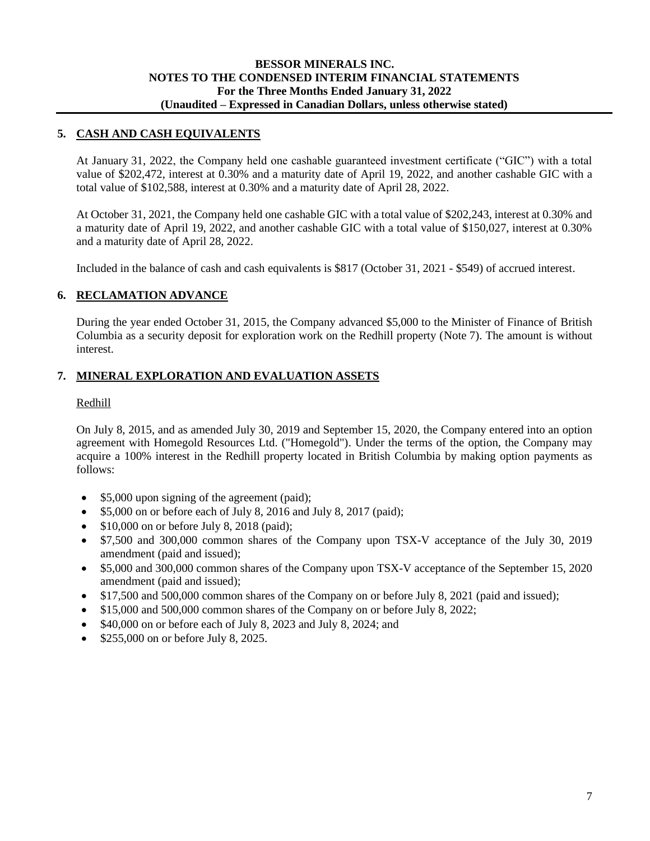# **5. CASH AND CASH EQUIVALENTS**

At January 31, 2022, the Company held one cashable guaranteed investment certificate ("GIC") with a total value of \$202,472, interest at 0.30% and a maturity date of April 19, 2022, and another cashable GIC with a total value of \$102,588, interest at 0.30% and a maturity date of April 28, 2022.

At October 31, 2021, the Company held one cashable GIC with a total value of \$202,243, interest at 0.30% and a maturity date of April 19, 2022, and another cashable GIC with a total value of \$150,027, interest at 0.30% and a maturity date of April 28, 2022.

Included in the balance of cash and cash equivalents is \$817 (October 31, 2021 - \$549) of accrued interest.

# **6. RECLAMATION ADVANCE**

During the year ended October 31, 2015, the Company advanced \$5,000 to the Minister of Finance of British Columbia as a security deposit for exploration work on the Redhill property (Note 7). The amount is without interest.

# **7. MINERAL EXPLORATION AND EVALUATION ASSETS**

## Redhill

On July 8, 2015, and as amended July 30, 2019 and September 15, 2020, the Company entered into an option agreement with Homegold Resources Ltd. ("Homegold"). Under the terms of the option, the Company may acquire a 100% interest in the Redhill property located in British Columbia by making option payments as follows:

- \$5,000 upon signing of the agreement (paid);
- \$5,000 on or before each of July 8, 2016 and July 8, 2017 (paid);
- \$10,000 on or before July 8, 2018 (paid);
- \$7,500 and 300,000 common shares of the Company upon TSX-V acceptance of the July 30, 2019 amendment (paid and issued);
- \$5,000 and 300,000 common shares of the Company upon TSX-V acceptance of the September 15, 2020 amendment (paid and issued);
- \$17,500 and 500,000 common shares of the Company on or before July 8, 2021 (paid and issued);
- \$15,000 and 500,000 common shares of the Company on or before July 8, 2022;
- \$40,000 on or before each of July 8, 2023 and July 8, 2024; and
- \$255,000 on or before July 8, 2025.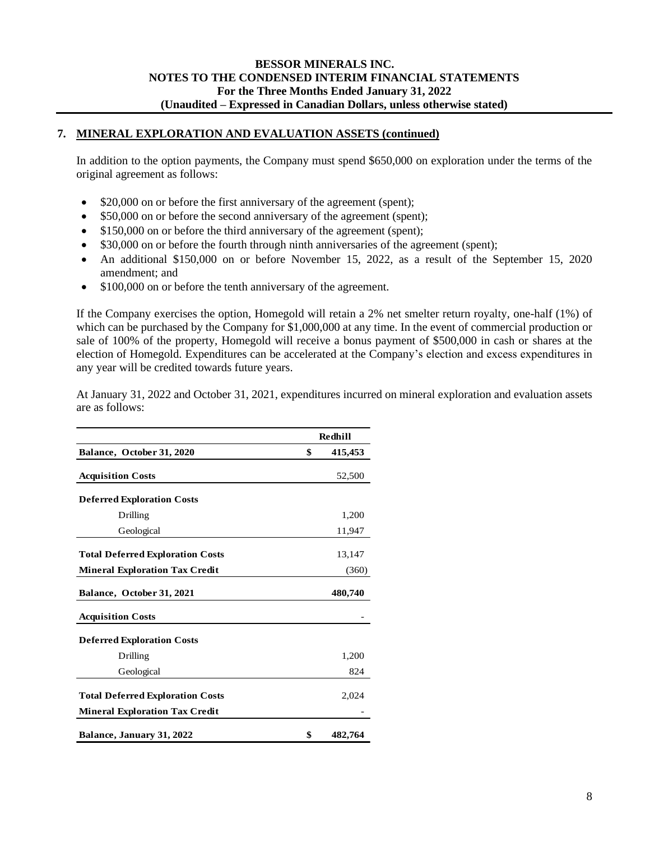# **7. MINERAL EXPLORATION AND EVALUATION ASSETS (continued)**

In addition to the option payments, the Company must spend \$650,000 on exploration under the terms of the original agreement as follows:

- \$20,000 on or before the first anniversary of the agreement (spent);
- \$50,000 on or before the second anniversary of the agreement (spent);
- \$150,000 on or before the third anniversary of the agreement (spent);
- \$30,000 on or before the fourth through ninth anniversaries of the agreement (spent);
- An additional \$150,000 on or before November 15, 2022, as a result of the September 15, 2020 amendment; and
- \$100,000 on or before the tenth anniversary of the agreement.

If the Company exercises the option, Homegold will retain a 2% net smelter return royalty, one-half (1%) of which can be purchased by the Company for \$1,000,000 at any time. In the event of commercial production or sale of 100% of the property, Homegold will receive a bonus payment of \$500,000 in cash or shares at the election of Homegold. Expenditures can be accelerated at the Company's election and excess expenditures in any year will be credited towards future years.

At January 31, 2022 and October 31, 2021, expenditures incurred on mineral exploration and evaluation assets are as follows:

|                                         | Redhill       |
|-----------------------------------------|---------------|
| Balance, October 31, 2020               | \$<br>415,453 |
| <b>Acquisition Costs</b>                | 52,500        |
| <b>Deferred Exploration Costs</b>       |               |
| Drilling                                | 1,200         |
| Geological                              | 11,947        |
| <b>Total Deferred Exploration Costs</b> | 13,147        |
| <b>Mineral Exploration Tax Credit</b>   | (360)         |
| Balance, October 31, 2021               | 480,740       |
| <b>Acquisition Costs</b>                |               |
| <b>Deferred Exploration Costs</b>       |               |
| Drilling                                | 1,200         |
| Geological                              | 824           |
| <b>Total Deferred Exploration Costs</b> | 2,024         |
| <b>Mineral Exploration Tax Credit</b>   |               |
| Balance, January 31, 2022               | \$<br>482,764 |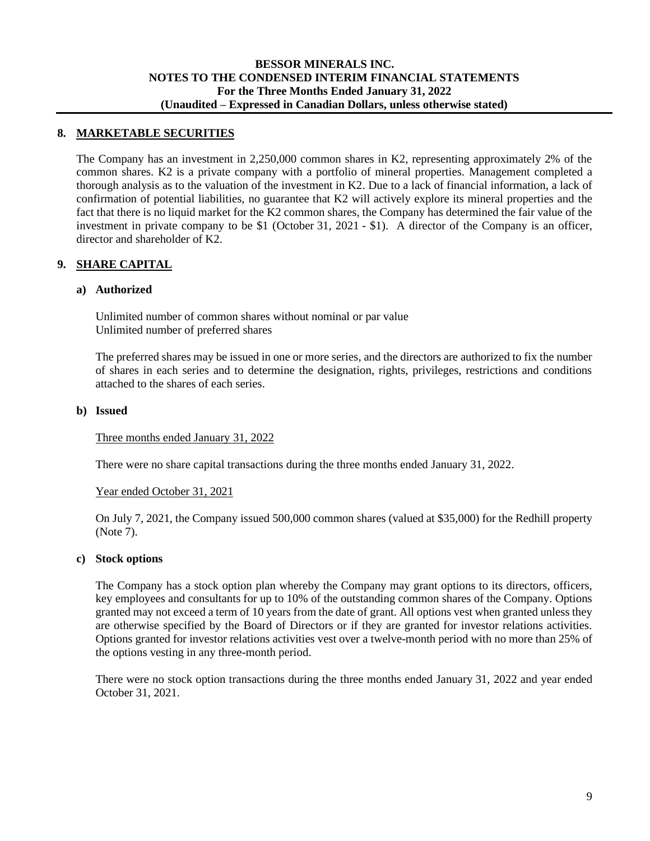## **8. MARKETABLE SECURITIES**

The Company has an investment in 2,250,000 common shares in K2, representing approximately 2% of the common shares. K2 is a private company with a portfolio of mineral properties. Management completed a thorough analysis as to the valuation of the investment in K2. Due to a lack of financial information, a lack of confirmation of potential liabilities, no guarantee that K2 will actively explore its mineral properties and the fact that there is no liquid market for the K2 common shares, the Company has determined the fair value of the investment in private company to be \$1 (October 31, 2021 - \$1). A director of the Company is an officer, director and shareholder of K2.

## **9. SHARE CAPITAL**

#### **a) Authorized**

Unlimited number of common shares without nominal or par value Unlimited number of preferred shares

The preferred shares may be issued in one or more series, and the directors are authorized to fix the number of shares in each series and to determine the designation, rights, privileges, restrictions and conditions attached to the shares of each series.

#### **b) Issued**

#### Three months ended January 31, 2022

There were no share capital transactions during the three months ended January 31, 2022.

#### Year ended October 31, 2021

On July 7, 2021, the Company issued 500,000 common shares (valued at \$35,000) for the Redhill property (Note 7).

#### **c) Stock options**

The Company has a stock option plan whereby the Company may grant options to its directors, officers, key employees and consultants for up to 10% of the outstanding common shares of the Company. Options granted may not exceed a term of 10 years from the date of grant. All options vest when granted unless they are otherwise specified by the Board of Directors or if they are granted for investor relations activities. Options granted for investor relations activities vest over a twelve-month period with no more than 25% of the options vesting in any three-month period.

There were no stock option transactions during the three months ended January 31, 2022 and year ended October 31, 2021.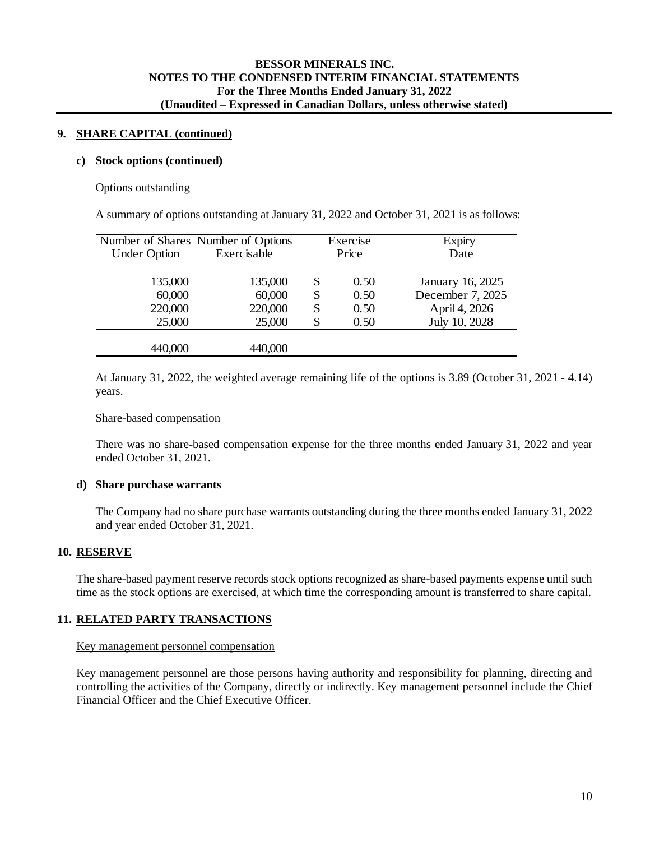#### **9. SHARE CAPITAL (continued)**

#### **c) Stock options (continued)**

#### Options outstanding

A summary of options outstanding at January 31, 2022 and October 31, 2021 is as follows:

|                     | Number of Shares Number of Options |    | Exercise | Expiry           |
|---------------------|------------------------------------|----|----------|------------------|
| <b>Under Option</b> | Exercisable                        |    | Price    | Date             |
|                     |                                    |    |          |                  |
| 135,000             | 135,000                            | S  | 0.50     | January 16, 2025 |
| 60,000              | 60,000                             | \$ | 0.50     | December 7, 2025 |
| 220,000             | 220,000                            | \$ | 0.50     | April 4, 2026    |
| 25,000              | 25,000                             |    | 0.50     | July 10, 2028    |
|                     |                                    |    |          |                  |
| 440,000             | 440,000                            |    |          |                  |

At January 31, 2022, the weighted average remaining life of the options is 3.89 (October 31, 2021 - 4.14) years.

#### Share-based compensation

There was no share-based compensation expense for the three months ended January 31, 2022 and year ended October 31, 2021.

#### **d) Share purchase warrants**

The Company had no share purchase warrants outstanding during the three months ended January 31, 2022 and year ended October 31, 2021.

## **10. RESERVE**

The share-based payment reserve records stock options recognized as share-based payments expense until such time as the stock options are exercised, at which time the corresponding amount is transferred to share capital.

## **11. RELATED PARTY TRANSACTIONS**

#### Key management personnel compensation

Key management personnel are those persons having authority and responsibility for planning, directing and controlling the activities of the Company, directly or indirectly. Key management personnel include the Chief Financial Officer and the Chief Executive Officer.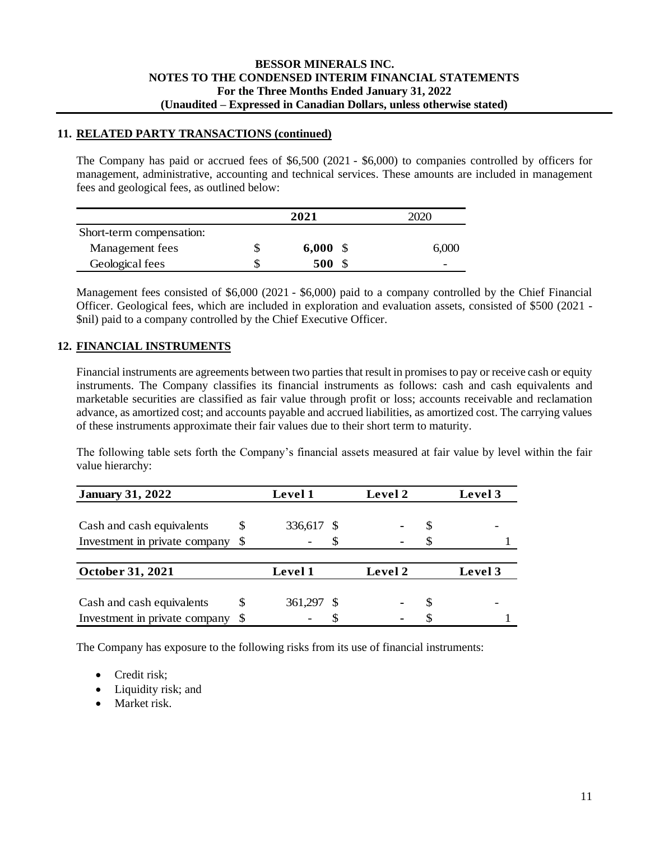# **11. RELATED PARTY TRANSACTIONS (continued)**

The Company has paid or accrued fees of \$6,500 (2021 - \$6,000) to companies controlled by officers for management, administrative, accounting and technical services. These amounts are included in management fees and geological fees, as outlined below:

|                          |   | 2021  | 2020  |
|--------------------------|---|-------|-------|
| Short-term compensation: |   |       |       |
| Management fees          | Ъ | 6,000 | 6,000 |
| Geological fees          |   | 500   | -     |

Management fees consisted of \$6,000 (2021 - \$6,000) paid to a company controlled by the Chief Financial Officer. Geological fees, which are included in exploration and evaluation assets, consisted of \$500 (2021 - \$nil) paid to a company controlled by the Chief Executive Officer.

# **12. FINANCIAL INSTRUMENTS**

Financial instruments are agreements between two parties that result in promises to pay or receive cash or equity instruments. The Company classifies its financial instruments as follows: cash and cash equivalents and marketable securities are classified as fair value through profit or loss; accounts receivable and reclamation advance, as amortized cost; and accounts payable and accrued liabilities, as amortized cost. The carrying values of these instruments approximate their fair values due to their short term to maturity.

The following table sets forth the Company's financial assets measured at fair value by level within the fair value hierarchy:

| <b>January 31, 2022</b>       |    | <b>Level 1</b> | Level 2 |   | Level 3 |
|-------------------------------|----|----------------|---------|---|---------|
|                               |    |                |         |   |         |
| Cash and cash equivalents     | \$ | 336,617 \$     |         | S |         |
| Investment in private company | S  |                |         |   |         |
|                               |    |                |         |   |         |
| October 31, 2021              |    | Level 1        | Level 2 |   | Level 3 |
|                               |    |                |         |   |         |
| Cash and cash equivalents     | S  | 361,297 \$     |         | S |         |
| Investment in private company | S  |                |         |   |         |

The Company has exposure to the following risks from its use of financial instruments:

- Credit risk:
- Liquidity risk; and
- Market risk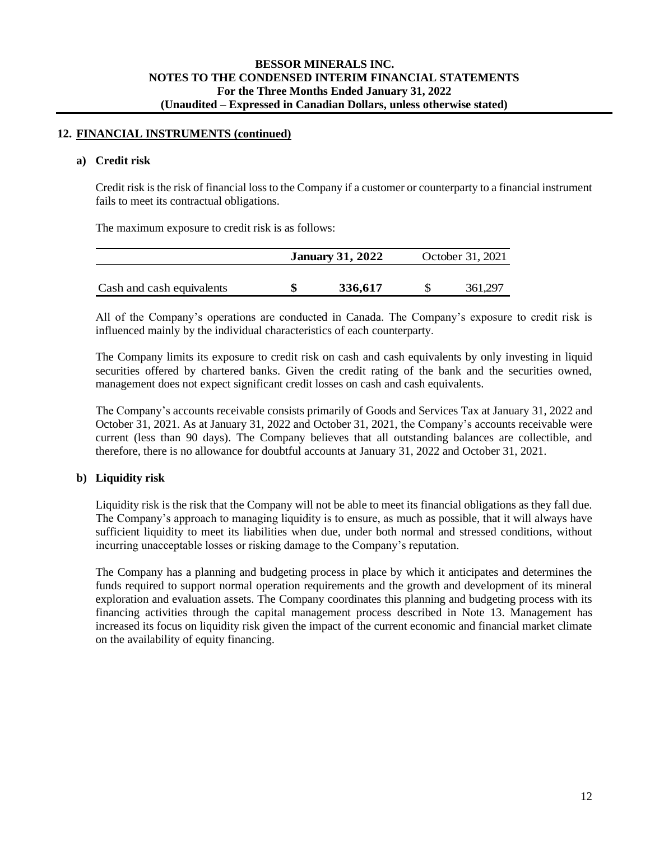## **12. FINANCIAL INSTRUMENTS (continued)**

#### **a) Credit risk**

Credit risk is the risk of financial loss to the Company if a customer or counterparty to a financial instrument fails to meet its contractual obligations.

The maximum exposure to credit risk is as follows:

|                           | <b>January 31, 2022</b> | October 31, 2021 |
|---------------------------|-------------------------|------------------|
|                           |                         |                  |
| Cash and cash equivalents | 336.617                 | 361.297          |

All of the Company's operations are conducted in Canada. The Company's exposure to credit risk is influenced mainly by the individual characteristics of each counterparty.

The Company limits its exposure to credit risk on cash and cash equivalents by only investing in liquid securities offered by chartered banks. Given the credit rating of the bank and the securities owned, management does not expect significant credit losses on cash and cash equivalents.

The Company's accounts receivable consists primarily of Goods and Services Tax at January 31, 2022 and October 31, 2021. As at January 31, 2022 and October 31, 2021, the Company's accounts receivable were current (less than 90 days). The Company believes that all outstanding balances are collectible, and therefore, there is no allowance for doubtful accounts at January 31, 2022 and October 31, 2021.

## **b) Liquidity risk**

Liquidity risk is the risk that the Company will not be able to meet its financial obligations as they fall due. The Company's approach to managing liquidity is to ensure, as much as possible, that it will always have sufficient liquidity to meet its liabilities when due, under both normal and stressed conditions, without incurring unacceptable losses or risking damage to the Company's reputation.

The Company has a planning and budgeting process in place by which it anticipates and determines the funds required to support normal operation requirements and the growth and development of its mineral exploration and evaluation assets. The Company coordinates this planning and budgeting process with its financing activities through the capital management process described in Note 13. Management has increased its focus on liquidity risk given the impact of the current economic and financial market climate on the availability of equity financing.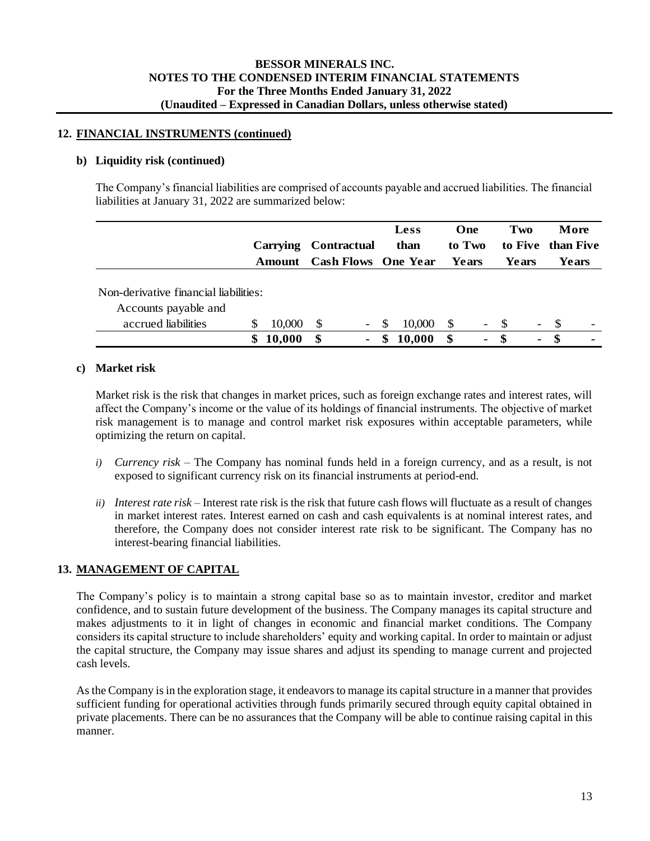## **12. FINANCIAL INSTRUMENTS (continued)**

## **b) Liquidity risk (continued)**

The Company's financial liabilities are comprised of accounts payable and accrued liabilities. The financial liabilities at January 31, 2022 are summarized below:

|                                       |   |                      |      |                            |               | <b>Less</b> |              | One                          | Two   |                          |     | More                     |
|---------------------------------------|---|----------------------|------|----------------------------|---------------|-------------|--------------|------------------------------|-------|--------------------------|-----|--------------------------|
|                                       |   | Carrying Contractual |      |                            |               | than        |              | to Two                       |       |                          |     | to Five than Five        |
|                                       |   | Amount               |      | <b>Cash Flows</b> One Year |               |             |              | Years                        | Years |                          |     | Years                    |
| Non-derivative financial liabilities: |   |                      |      |                            |               |             |              |                              |       |                          |     |                          |
| Accounts payable and                  |   |                      |      |                            |               |             |              |                              |       |                          |     |                          |
| accrued liabilities                   |   | 10,000               | -S   | $\overline{\phantom{a}}$   | <sup>\$</sup> | 10,000      | <sup>S</sup> | $\qquad \qquad \blacksquare$ | - \$  | $\overline{\phantom{a}}$ | -S  | $\overline{\phantom{0}}$ |
|                                       | S | 10,000               | - \$ |                            | S             | 10,000      | \$           | $\blacksquare$               | - \$  | $\blacksquare$           | -SS |                          |

# **c) Market risk**

Market risk is the risk that changes in market prices, such as foreign exchange rates and interest rates, will affect the Company's income or the value of its holdings of financial instruments. The objective of market risk management is to manage and control market risk exposures within acceptable parameters, while optimizing the return on capital.

- *i) Currency risk –* The Company has nominal funds held in a foreign currency, and as a result, is not exposed to significant currency risk on its financial instruments at period-end.
- *ii) Interest rate risk –* Interest rate risk is the risk that future cash flows will fluctuate as a result of changes in market interest rates. Interest earned on cash and cash equivalents is at nominal interest rates, and therefore, the Company does not consider interest rate risk to be significant. The Company has no interest-bearing financial liabilities.

# **13. MANAGEMENT OF CAPITAL**

The Company's policy is to maintain a strong capital base so as to maintain investor, creditor and market confidence, and to sustain future development of the business. The Company manages its capital structure and makes adjustments to it in light of changes in economic and financial market conditions. The Company considers its capital structure to include shareholders' equity and working capital. In order to maintain or adjust the capital structure, the Company may issue shares and adjust its spending to manage current and projected cash levels.

As the Company is in the exploration stage, it endeavors to manage its capital structure in a manner that provides sufficient funding for operational activities through funds primarily secured through equity capital obtained in private placements. There can be no assurances that the Company will be able to continue raising capital in this manner.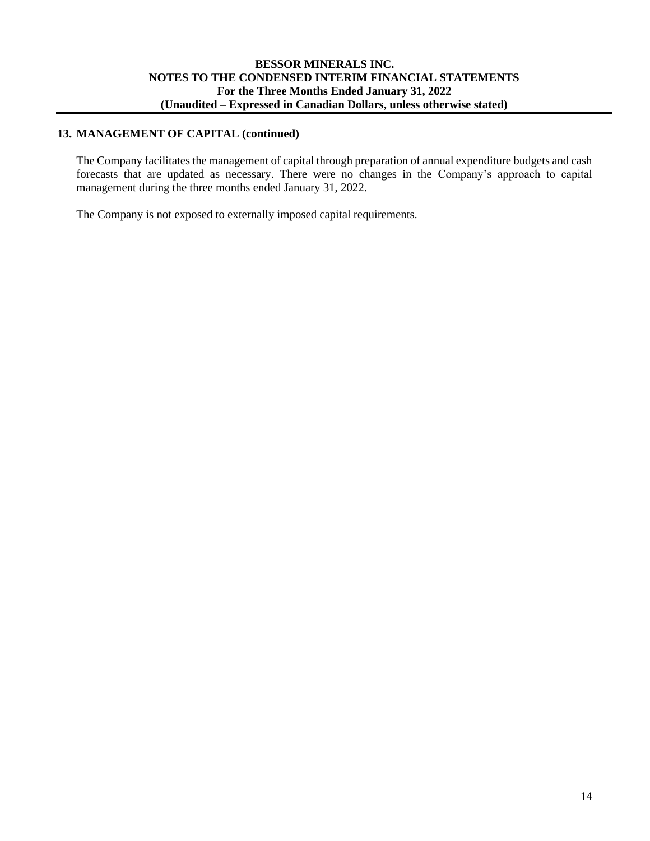# **13. MANAGEMENT OF CAPITAL (continued)**

The Company facilitates the management of capital through preparation of annual expenditure budgets and cash forecasts that are updated as necessary. There were no changes in the Company's approach to capital management during the three months ended January 31, 2022.

The Company is not exposed to externally imposed capital requirements.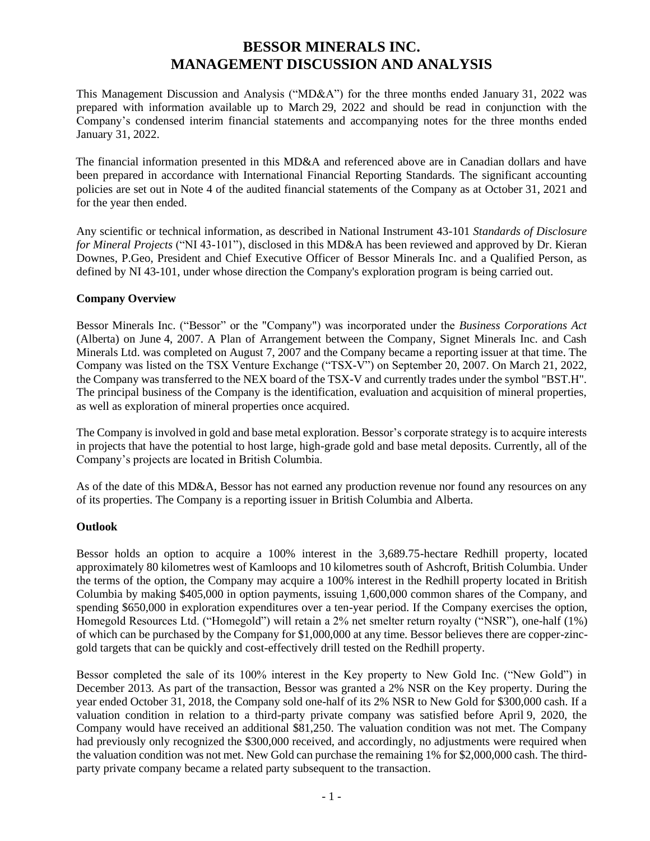# **BESSOR MINERALS INC. MANAGEMENT DISCUSSION AND ANALYSIS**

This Management Discussion and Analysis ("MD&A") for the three months ended January 31, 2022 was prepared with information available up to March 29, 2022 and should be read in conjunction with the Company's condensed interim financial statements and accompanying notes for the three months ended January 31, 2022.

The financial information presented in this MD&A and referenced above are in Canadian dollars and have been prepared in accordance with International Financial Reporting Standards. The significant accounting policies are set out in Note 4 of the audited financial statements of the Company as at October 31, 2021 and for the year then ended.

Any scientific or technical information, as described in National Instrument 43-101 *Standards of Disclosure for Mineral Projects* ("NI 43-101"), disclosed in this MD&A has been reviewed and approved by Dr. Kieran Downes, P.Geo, President and Chief Executive Officer of Bessor Minerals Inc. and a Qualified Person, as defined by NI 43-101, under whose direction the Company's exploration program is being carried out.

# **Company Overview**

Bessor Minerals Inc. ("Bessor" or the "Company") was incorporated under the *Business Corporations Act* (Alberta) on June 4, 2007. A Plan of Arrangement between the Company, Signet Minerals Inc. and Cash Minerals Ltd. was completed on August 7, 2007 and the Company became a reporting issuer at that time. The Company was listed on the TSX Venture Exchange ("TSX-V") on September 20, 2007. On March 21, 2022, the Company was transferred to the NEX board of the TSX-V and currently trades under the symbol "BST.H". The principal business of the Company is the identification, evaluation and acquisition of mineral properties, as well as exploration of mineral properties once acquired.

The Company is involved in gold and base metal exploration. Bessor's corporate strategy is to acquire interests in projects that have the potential to host large, high-grade gold and base metal deposits. Currently, all of the Company's projects are located in British Columbia.

As of the date of this MD&A, Bessor has not earned any production revenue nor found any resources on any of its properties. The Company is a reporting issuer in British Columbia and Alberta.

# **Outlook**

Bessor holds an option to acquire a 100% interest in the 3,689.75-hectare Redhill property, located approximately 80 kilometres west of Kamloops and 10 kilometres south of Ashcroft, British Columbia. Under the terms of the option, the Company may acquire a 100% interest in the Redhill property located in British Columbia by making \$405,000 in option payments, issuing 1,600,000 common shares of the Company, and spending \$650,000 in exploration expenditures over a ten-year period. If the Company exercises the option, Homegold Resources Ltd. ("Homegold") will retain a 2% net smelter return royalty ("NSR"), one-half (1%) of which can be purchased by the Company for \$1,000,000 at any time. Bessor believes there are copper-zincgold targets that can be quickly and cost-effectively drill tested on the Redhill property.

Bessor completed the sale of its 100% interest in the Key property to New Gold Inc. ("New Gold") in December 2013. As part of the transaction, Bessor was granted a 2% NSR on the Key property. During the year ended October 31, 2018, the Company sold one-half of its 2% NSR to New Gold for \$300,000 cash. If a valuation condition in relation to a third-party private company was satisfied before April 9, 2020, the Company would have received an additional \$81,250. The valuation condition was not met. The Company had previously only recognized the \$300,000 received, and accordingly, no adjustments were required when the valuation condition was not met. New Gold can purchase the remaining 1% for \$2,000,000 cash. The thirdparty private company became a related party subsequent to the transaction.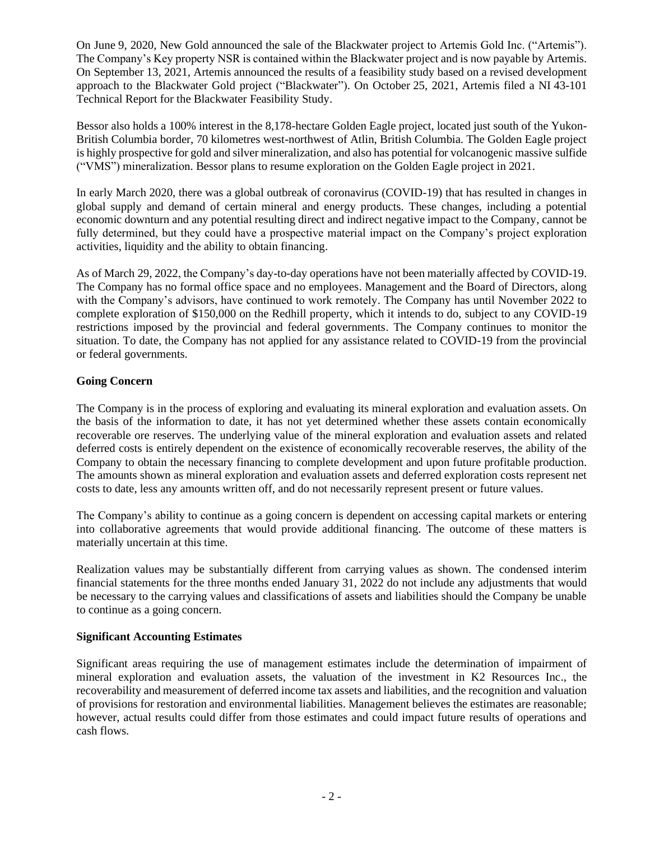On June 9, 2020, New Gold announced the sale of the Blackwater project to Artemis Gold Inc. ("Artemis"). The Company's Key property NSR is contained within the Blackwater project and is now payable by Artemis. On September 13, 2021, Artemis announced the results of a feasibility study based on a revised development approach to the Blackwater Gold project ("Blackwater"). On October 25, 2021, Artemis filed a NI 43-101 Technical Report for the Blackwater Feasibility Study.

Bessor also holds a 100% interest in the 8,178-hectare Golden Eagle project, located just south of the Yukon-British Columbia border, 70 kilometres west-northwest of Atlin, British Columbia. The Golden Eagle project is highly prospective for gold and silver mineralization, and also has potential for volcanogenic massive sulfide ("VMS") mineralization. Bessor plans to resume exploration on the Golden Eagle project in 2021.

In early March 2020, there was a global outbreak of coronavirus (COVID-19) that has resulted in changes in global supply and demand of certain mineral and energy products. These changes, including a potential economic downturn and any potential resulting direct and indirect negative impact to the Company, cannot be fully determined, but they could have a prospective material impact on the Company's project exploration activities, liquidity and the ability to obtain financing.

As of March 29, 2022, the Company's day-to-day operations have not been materially affected by COVID-19. The Company has no formal office space and no employees. Management and the Board of Directors, along with the Company's advisors, have continued to work remotely. The Company has until November 2022 to complete exploration of \$150,000 on the Redhill property, which it intends to do, subject to any COVID-19 restrictions imposed by the provincial and federal governments. The Company continues to monitor the situation. To date, the Company has not applied for any assistance related to COVID-19 from the provincial or federal governments.

# **Going Concern**

The Company is in the process of exploring and evaluating its mineral exploration and evaluation assets. On the basis of the information to date, it has not yet determined whether these assets contain economically recoverable ore reserves. The underlying value of the mineral exploration and evaluation assets and related deferred costs is entirely dependent on the existence of economically recoverable reserves, the ability of the Company to obtain the necessary financing to complete development and upon future profitable production. The amounts shown as mineral exploration and evaluation assets and deferred exploration costs represent net costs to date, less any amounts written off, and do not necessarily represent present or future values.

The Company's ability to continue as a going concern is dependent on accessing capital markets or entering into collaborative agreements that would provide additional financing. The outcome of these matters is materially uncertain at this time.

Realization values may be substantially different from carrying values as shown. The condensed interim financial statements for the three months ended January 31, 2022 do not include any adjustments that would be necessary to the carrying values and classifications of assets and liabilities should the Company be unable to continue as a going concern.

## **Significant Accounting Estimates**

Significant areas requiring the use of management estimates include the determination of impairment of mineral exploration and evaluation assets, the valuation of the investment in K2 Resources Inc., the recoverability and measurement of deferred income tax assets and liabilities, and the recognition and valuation of provisions for restoration and environmental liabilities. Management believes the estimates are reasonable; however, actual results could differ from those estimates and could impact future results of operations and cash flows.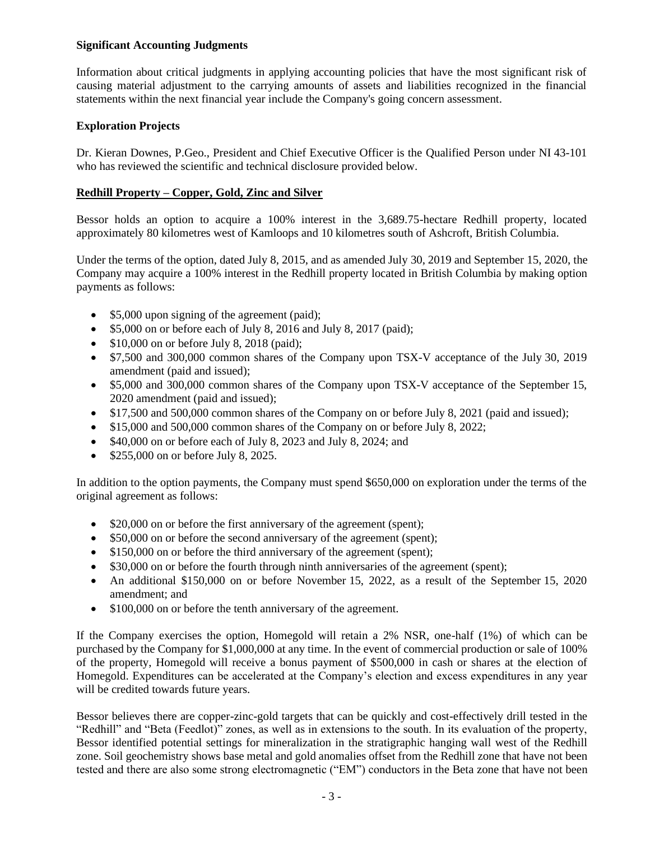## **Significant Accounting Judgments**

Information about critical judgments in applying accounting policies that have the most significant risk of causing material adjustment to the carrying amounts of assets and liabilities recognized in the financial statements within the next financial year include the Company's going concern assessment.

# **Exploration Projects**

Dr. Kieran Downes, P.Geo., President and Chief Executive Officer is the Qualified Person under NI 43-101 who has reviewed the scientific and technical disclosure provided below.

# **Redhill Property – Copper, Gold, Zinc and Silver**

Bessor holds an option to acquire a 100% interest in the 3,689.75-hectare Redhill property, located approximately 80 kilometres west of Kamloops and 10 kilometres south of Ashcroft, British Columbia.

Under the terms of the option, dated July 8, 2015, and as amended July 30, 2019 and September 15, 2020, the Company may acquire a 100% interest in the Redhill property located in British Columbia by making option payments as follows:

- \$5,000 upon signing of the agreement (paid);
- $$5,000$  on or before each of July 8, 2016 and July 8, 2017 (paid);
- $$10,000$  on or before July 8, 2018 (paid);
- \$7,500 and 300,000 common shares of the Company upon TSX-V acceptance of the July 30, 2019 amendment (paid and issued);
- \$5,000 and 300,000 common shares of the Company upon TSX-V acceptance of the September 15, 2020 amendment (paid and issued);
- \$17,500 and 500,000 common shares of the Company on or before July 8, 2021 (paid and issued);
- \$15,000 and 500,000 common shares of the Company on or before July 8, 2022;
- \$40,000 on or before each of July 8, 2023 and July 8, 2024; and
- \$255,000 on or before July 8, 2025.

In addition to the option payments, the Company must spend \$650,000 on exploration under the terms of the original agreement as follows:

- \$20,000 on or before the first anniversary of the agreement (spent);
- \$50,000 on or before the second anniversary of the agreement (spent);
- \$150,000 on or before the third anniversary of the agreement (spent);
- \$30,000 on or before the fourth through ninth anniversaries of the agreement (spent);
- An additional \$150,000 on or before November 15, 2022, as a result of the September 15, 2020 amendment; and
- \$100,000 on or before the tenth anniversary of the agreement.

If the Company exercises the option, Homegold will retain a 2% NSR, one-half (1%) of which can be purchased by the Company for \$1,000,000 at any time. In the event of commercial production or sale of 100% of the property, Homegold will receive a bonus payment of \$500,000 in cash or shares at the election of Homegold. Expenditures can be accelerated at the Company's election and excess expenditures in any year will be credited towards future years.

Bessor believes there are copper-zinc-gold targets that can be quickly and cost-effectively drill tested in the "Redhill" and "Beta (Feedlot)" zones, as well as in extensions to the south. In its evaluation of the property, Bessor identified potential settings for mineralization in the stratigraphic hanging wall west of the Redhill zone. Soil geochemistry shows base metal and gold anomalies offset from the Redhill zone that have not been tested and there are also some strong electromagnetic ("EM") conductors in the Beta zone that have not been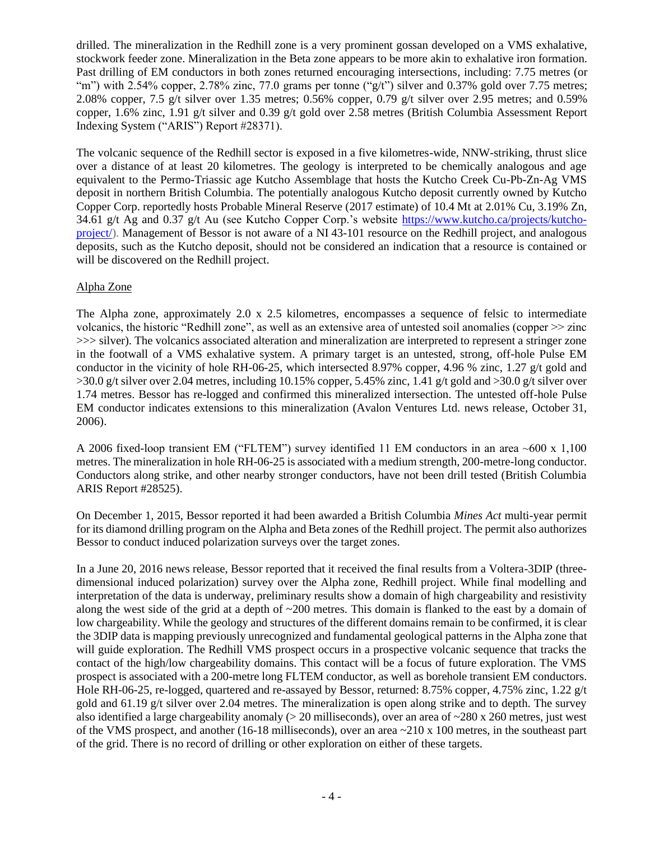drilled. The mineralization in the Redhill zone is a very prominent gossan developed on a VMS exhalative, stockwork feeder zone. Mineralization in the Beta zone appears to be more akin to exhalative iron formation. Past drilling of EM conductors in both zones returned encouraging intersections, including: 7.75 metres (or "m") with 2.54% copper, 2.78% zinc, 77.0 grams per tonne ("g/t") silver and 0.37% gold over 7.75 metres; 2.08% copper, 7.5 g/t silver over 1.35 metres; 0.56% copper, 0.79 g/t silver over 2.95 metres; and 0.59% copper, 1.6% zinc, 1.91 g/t silver and 0.39 g/t gold over 2.58 metres (British Columbia Assessment Report Indexing System ("ARIS") Report #28371).

The volcanic sequence of the Redhill sector is exposed in a five kilometres-wide, NNW-striking, thrust slice over a distance of at least 20 kilometres. The geology is interpreted to be chemically analogous and age equivalent to the Permo-Triassic age Kutcho Assemblage that hosts the Kutcho Creek Cu-Pb-Zn-Ag VMS deposit in northern British Columbia. The potentially analogous Kutcho deposit currently owned by Kutcho Copper Corp. reportedly hosts Probable Mineral Reserve (2017 estimate) of 10.4 Mt at 2.01% Cu, 3.19% Zn, 34.61 g/t Ag and 0.37 g/t Au (see Kutcho Copper Corp.'s website [https://www.kutcho.ca/projects/kutcho](about:blank)[project/\)](about:blank). Management of Bessor is not aware of a NI 43-101 resource on the Redhill project, and analogous deposits, such as the Kutcho deposit, should not be considered an indication that a resource is contained or will be discovered on the Redhill project.

# Alpha Zone

The Alpha zone, approximately 2.0 x 2.5 kilometres, encompasses a sequence of felsic to intermediate volcanics, the historic "Redhill zone", as well as an extensive area of untested soil anomalies (copper >> zinc >>> silver). The volcanics associated alteration and mineralization are interpreted to represent a stringer zone in the footwall of a VMS exhalative system. A primary target is an untested, strong, off-hole Pulse EM conductor in the vicinity of hole RH-06-25, which intersected 8.97% copper, 4.96 % zinc, 1.27 g/t gold and  $>30.0$  g/t silver over 2.04 metres, including 10.15% copper, 5.45% zinc, 1.41 g/t gold and  $>30.0$  g/t silver over 1.74 metres. Bessor has re-logged and confirmed this mineralized intersection. The untested off-hole Pulse EM conductor indicates extensions to this mineralization (Avalon Ventures Ltd. news release, October 31, 2006).

A 2006 fixed-loop transient EM ("FLTEM") survey identified 11 EM conductors in an area ~600 x 1,100 metres. The mineralization in hole RH-06-25 is associated with a medium strength, 200-metre-long conductor. Conductors along strike, and other nearby stronger conductors, have not been drill tested (British Columbia ARIS Report #28525).

On December 1, 2015, Bessor reported it had been awarded a British Columbia *Mines Act* multi-year permit for its diamond drilling program on the Alpha and Beta zones of the Redhill project. The permit also authorizes Bessor to conduct induced polarization surveys over the target zones.

In a June 20, 2016 news release, Bessor reported that it received the final results from a Voltera-3DIP (threedimensional induced polarization) survey over the Alpha zone, Redhill project. While final modelling and interpretation of the data is underway, preliminary results show a domain of high chargeability and resistivity along the west side of the grid at a depth of  $\sim$ 200 metres. This domain is flanked to the east by a domain of low chargeability. While the geology and structures of the different domains remain to be confirmed, it is clear the 3DIP data is mapping previously unrecognized and fundamental geological patterns in the Alpha zone that will guide exploration. The Redhill VMS prospect occurs in a prospective volcanic sequence that tracks the contact of the high/low chargeability domains. This contact will be a focus of future exploration. The VMS prospect is associated with a 200-metre long FLTEM conductor, as well as borehole transient EM conductors. Hole RH-06-25, re-logged, quartered and re-assayed by Bessor, returned: 8.75% copper, 4.75% zinc, 1.22 g/t gold and 61.19 g/t silver over 2.04 metres. The mineralization is open along strike and to depth. The survey also identified a large chargeability anomaly ( $> 20$  milliseconds), over an area of  $\sim$ 280 x 260 metres, just west of the VMS prospect, and another (16-18 milliseconds), over an area ~210 x 100 metres, in the southeast part of the grid. There is no record of drilling or other exploration on either of these targets.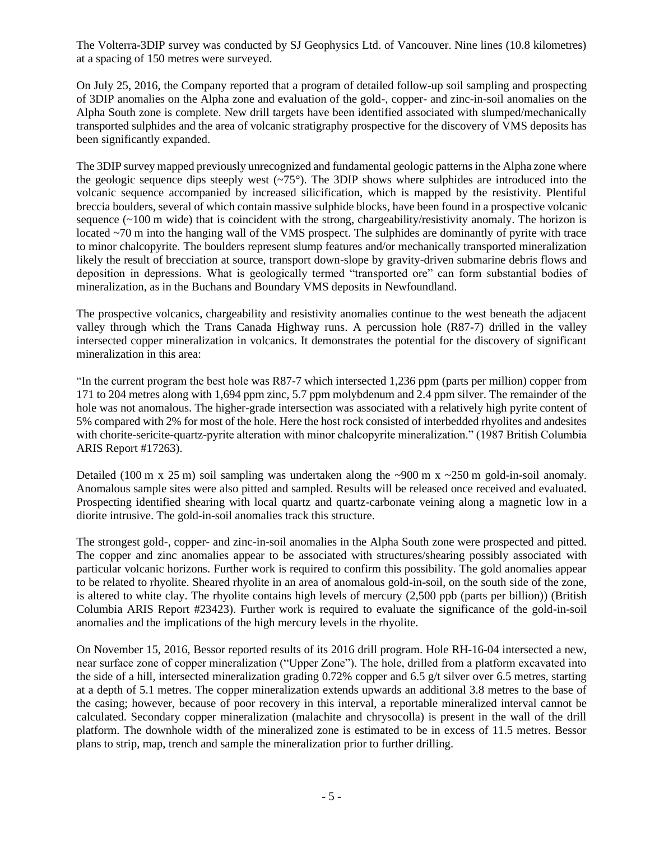The Volterra-3DIP survey was conducted by SJ Geophysics Ltd. of Vancouver. Nine lines (10.8 kilometres) at a spacing of 150 metres were surveyed.

On July 25, 2016, the Company reported that a program of detailed follow-up soil sampling and prospecting of 3DIP anomalies on the Alpha zone and evaluation of the gold-, copper- and zinc-in-soil anomalies on the Alpha South zone is complete. New drill targets have been identified associated with slumped/mechanically transported sulphides and the area of volcanic stratigraphy prospective for the discovery of VMS deposits has been significantly expanded.

The 3DIP survey mapped previously unrecognized and fundamental geologic patterns in the Alpha zone where the geologic sequence dips steeply west  $(\sim 75^{\circ})$ . The 3DIP shows where sulphides are introduced into the volcanic sequence accompanied by increased silicification, which is mapped by the resistivity. Plentiful breccia boulders, several of which contain massive sulphide blocks, have been found in a prospective volcanic sequence  $(\sim 100 \text{ m}$  wide) that is coincident with the strong, chargeability/resistivity anomaly. The horizon is located ~70 m into the hanging wall of the VMS prospect. The sulphides are dominantly of pyrite with trace to minor chalcopyrite. The boulders represent slump features and/or mechanically transported mineralization likely the result of brecciation at source, transport down-slope by gravity-driven submarine debris flows and deposition in depressions. What is geologically termed "transported ore" can form substantial bodies of mineralization, as in the Buchans and Boundary VMS deposits in Newfoundland.

The prospective volcanics, chargeability and resistivity anomalies continue to the west beneath the adjacent valley through which the Trans Canada Highway runs. A percussion hole (R87-7) drilled in the valley intersected copper mineralization in volcanics. It demonstrates the potential for the discovery of significant mineralization in this area:

"In the current program the best hole was R87-7 which intersected 1,236 ppm (parts per million) copper from 171 to 204 metres along with 1,694 ppm zinc, 5.7 ppm molybdenum and 2.4 ppm silver. The remainder of the hole was not anomalous. The higher-grade intersection was associated with a relatively high pyrite content of 5% compared with 2% for most of the hole. Here the host rock consisted of interbedded rhyolites and andesites with chorite-sericite-quartz-pyrite alteration with minor chalcopyrite mineralization." (1987 British Columbia ARIS Report #17263).

Detailed (100 m x 25 m) soil sampling was undertaken along the ~900 m x ~250 m gold-in-soil anomaly. Anomalous sample sites were also pitted and sampled. Results will be released once received and evaluated. Prospecting identified shearing with local quartz and quartz-carbonate veining along a magnetic low in a diorite intrusive. The gold-in-soil anomalies track this structure.

The strongest gold-, copper- and zinc-in-soil anomalies in the Alpha South zone were prospected and pitted. The copper and zinc anomalies appear to be associated with structures/shearing possibly associated with particular volcanic horizons. Further work is required to confirm this possibility. The gold anomalies appear to be related to rhyolite. Sheared rhyolite in an area of anomalous gold-in-soil, on the south side of the zone, is altered to white clay. The rhyolite contains high levels of mercury (2,500 ppb (parts per billion)) (British Columbia ARIS Report #23423). Further work is required to evaluate the significance of the gold-in-soil anomalies and the implications of the high mercury levels in the rhyolite.

On November 15, 2016, Bessor reported results of its 2016 drill program. Hole RH-16-04 intersected a new, near surface zone of copper mineralization ("Upper Zone"). The hole, drilled from a platform excavated into the side of a hill, intersected mineralization grading 0.72% copper and 6.5 g/t silver over 6.5 metres, starting at a depth of 5.1 metres. The copper mineralization extends upwards an additional 3.8 metres to the base of the casing; however, because of poor recovery in this interval, a reportable mineralized interval cannot be calculated. Secondary copper mineralization (malachite and chrysocolla) is present in the wall of the drill platform. The downhole width of the mineralized zone is estimated to be in excess of 11.5 metres. Bessor plans to strip, map, trench and sample the mineralization prior to further drilling.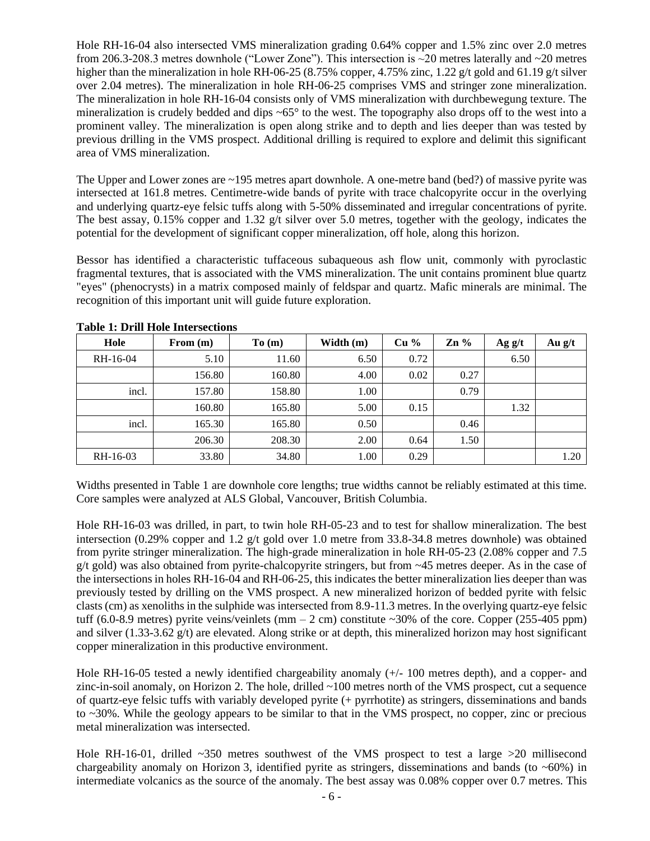Hole RH-16-04 also intersected VMS mineralization grading 0.64% copper and 1.5% zinc over 2.0 metres from 206.3-208.3 metres downhole ("Lower Zone"). This intersection is ~20 metres laterally and ~20 metres higher than the mineralization in hole RH-06-25 (8.75% copper, 4.75% zinc, 1.22 g/t gold and 61.19 g/t silver over 2.04 metres). The mineralization in hole RH-06-25 comprises VMS and stringer zone mineralization. The mineralization in hole RH-16-04 consists only of VMS mineralization with durchbewegung texture. The mineralization is crudely bedded and dips  $\sim 65^\circ$  to the west. The topography also drops off to the west into a prominent valley. The mineralization is open along strike and to depth and lies deeper than was tested by previous drilling in the VMS prospect. Additional drilling is required to explore and delimit this significant area of VMS mineralization.

The Upper and Lower zones are ~195 metres apart downhole. A one-metre band (bed?) of massive pyrite was intersected at 161.8 metres. Centimetre-wide bands of pyrite with trace chalcopyrite occur in the overlying and underlying quartz-eye felsic tuffs along with 5-50% disseminated and irregular concentrations of pyrite. The best assay, 0.15% copper and 1.32  $g/t$  silver over 5.0 metres, together with the geology, indicates the potential for the development of significant copper mineralization, off hole, along this horizon.

Bessor has identified a characteristic tuffaceous subaqueous ash flow unit, commonly with pyroclastic fragmental textures, that is associated with the VMS mineralization. The unit contains prominent blue quartz "eyes" (phenocrysts) in a matrix composed mainly of feldspar and quartz. Mafic minerals are minimal. The recognition of this important unit will guide future exploration.

| Hole     | From $(m)$ | To(m)  | Width $(m)$ | $Cu\%$ | $\mathbf{Zn}$ % | Ag g/t | Au $g/t$ |
|----------|------------|--------|-------------|--------|-----------------|--------|----------|
| RH-16-04 | 5.10       | 11.60  | 6.50        | 0.72   |                 | 6.50   |          |
|          | 156.80     | 160.80 | 4.00        | 0.02   | 0.27            |        |          |
| incl.    | 157.80     | 158.80 | 1.00        |        | 0.79            |        |          |
|          | 160.80     | 165.80 | 5.00        | 0.15   |                 | 1.32   |          |
| incl.    | 165.30     | 165.80 | 0.50        |        | 0.46            |        |          |
|          | 206.30     | 208.30 | 2.00        | 0.64   | 1.50            |        |          |
| RH-16-03 | 33.80      | 34.80  | 1.00        | 0.29   |                 |        | 1.20     |

# **Table 1: Drill Hole Intersections**

Widths presented in Table 1 are downhole core lengths; true widths cannot be reliably estimated at this time. Core samples were analyzed at ALS Global, Vancouver, British Columbia.

Hole RH-16-03 was drilled, in part, to twin hole RH-05-23 and to test for shallow mineralization. The best intersection (0.29% copper and 1.2 g/t gold over 1.0 metre from 33.8-34.8 metres downhole) was obtained from pyrite stringer mineralization. The high-grade mineralization in hole RH-05-23 (2.08% copper and 7.5 g/t gold) was also obtained from pyrite-chalcopyrite stringers, but from ~45 metres deeper. As in the case of the intersections in holes RH-16-04 and RH-06-25, this indicates the better mineralization lies deeper than was previously tested by drilling on the VMS prospect. A new mineralized horizon of bedded pyrite with felsic clasts (cm) as xenoliths in the sulphide was intersected from 8.9-11.3 metres. In the overlying quartz-eye felsic tuff (6.0-8.9 metres) pyrite veins/veinlets (mm  $-$  2 cm) constitute  $\sim$ 30% of the core. Copper (255-405 ppm) and silver (1.33-3.62 g/t) are elevated. Along strike or at depth, this mineralized horizon may host significant copper mineralization in this productive environment.

Hole RH-16-05 tested a newly identified chargeability anomaly (+/- 100 metres depth), and a copper- and zinc-in-soil anomaly, on Horizon 2. The hole, drilled ~100 metres north of the VMS prospect, cut a sequence of quartz-eye felsic tuffs with variably developed pyrite (+ pyrrhotite) as stringers, disseminations and bands to ~30%. While the geology appears to be similar to that in the VMS prospect, no copper, zinc or precious metal mineralization was intersected.

Hole RH-16-01, drilled ~350 metres southwest of the VMS prospect to test a large >20 millisecond chargeability anomaly on Horizon 3, identified pyrite as stringers, disseminations and bands (to ~60%) in intermediate volcanics as the source of the anomaly. The best assay was 0.08% copper over 0.7 metres. This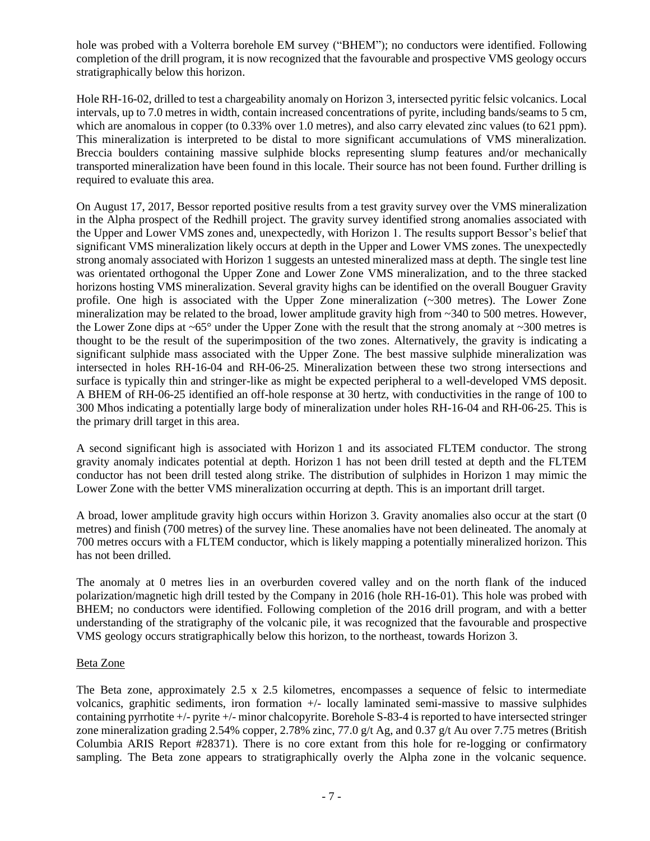hole was probed with a Volterra borehole EM survey ("BHEM"); no conductors were identified. Following completion of the drill program, it is now recognized that the favourable and prospective VMS geology occurs stratigraphically below this horizon.

Hole RH-16-02, drilled to test a chargeability anomaly on Horizon 3, intersected pyritic felsic volcanics. Local intervals, up to 7.0 metres in width, contain increased concentrations of pyrite, including bands/seams to 5 cm, which are anomalous in copper (to  $0.33\%$  over 1.0 metres), and also carry elevated zinc values (to 621 ppm). This mineralization is interpreted to be distal to more significant accumulations of VMS mineralization. Breccia boulders containing massive sulphide blocks representing slump features and/or mechanically transported mineralization have been found in this locale. Their source has not been found. Further drilling is required to evaluate this area.

On August 17, 2017, Bessor reported positive results from a test gravity survey over the VMS mineralization in the Alpha prospect of the Redhill project. The gravity survey identified strong anomalies associated with the Upper and Lower VMS zones and, unexpectedly, with Horizon 1. The results support Bessor's belief that significant VMS mineralization likely occurs at depth in the Upper and Lower VMS zones. The unexpectedly strong anomaly associated with Horizon 1 suggests an untested mineralized mass at depth. The single test line was orientated orthogonal the Upper Zone and Lower Zone VMS mineralization, and to the three stacked horizons hosting VMS mineralization. Several gravity highs can be identified on the overall Bouguer Gravity profile. One high is associated with the Upper Zone mineralization (~300 metres). The Lower Zone mineralization may be related to the broad, lower amplitude gravity high from ~340 to 500 metres. However, the Lower Zone dips at  $\sim 65^\circ$  under the Upper Zone with the result that the strong anomaly at  $\sim 300$  metres is thought to be the result of the superimposition of the two zones. Alternatively, the gravity is indicating a significant sulphide mass associated with the Upper Zone. The best massive sulphide mineralization was intersected in holes RH-16-04 and RH-06-25. Mineralization between these two strong intersections and surface is typically thin and stringer-like as might be expected peripheral to a well-developed VMS deposit. A BHEM of RH-06-25 identified an off-hole response at 30 hertz, with conductivities in the range of 100 to 300 Mhos indicating a potentially large body of mineralization under holes RH-16-04 and RH-06-25. This is the primary drill target in this area.

A second significant high is associated with Horizon 1 and its associated FLTEM conductor. The strong gravity anomaly indicates potential at depth. Horizon 1 has not been drill tested at depth and the FLTEM conductor has not been drill tested along strike. The distribution of sulphides in Horizon 1 may mimic the Lower Zone with the better VMS mineralization occurring at depth. This is an important drill target.

A broad, lower amplitude gravity high occurs within Horizon 3. Gravity anomalies also occur at the start (0 metres) and finish (700 metres) of the survey line. These anomalies have not been delineated. The anomaly at 700 metres occurs with a FLTEM conductor, which is likely mapping a potentially mineralized horizon. This has not been drilled.

The anomaly at 0 metres lies in an overburden covered valley and on the north flank of the induced polarization/magnetic high drill tested by the Company in 2016 (hole RH-16-01). This hole was probed with BHEM; no conductors were identified. Following completion of the 2016 drill program, and with a better understanding of the stratigraphy of the volcanic pile, it was recognized that the favourable and prospective VMS geology occurs stratigraphically below this horizon, to the northeast, towards Horizon 3.

## Beta Zone

The Beta zone, approximately 2.5 x 2.5 kilometres, encompasses a sequence of felsic to intermediate volcanics, graphitic sediments, iron formation +/- locally laminated semi-massive to massive sulphides containing pyrrhotite +/- pyrite +/- minor chalcopyrite. Borehole S-83-4 is reported to have intersected stringer zone mineralization grading 2.54% copper, 2.78% zinc, 77.0 g/t Ag, and 0.37 g/t Au over 7.75 metres (British Columbia ARIS Report #28371). There is no core extant from this hole for re-logging or confirmatory sampling. The Beta zone appears to stratigraphically overly the Alpha zone in the volcanic sequence.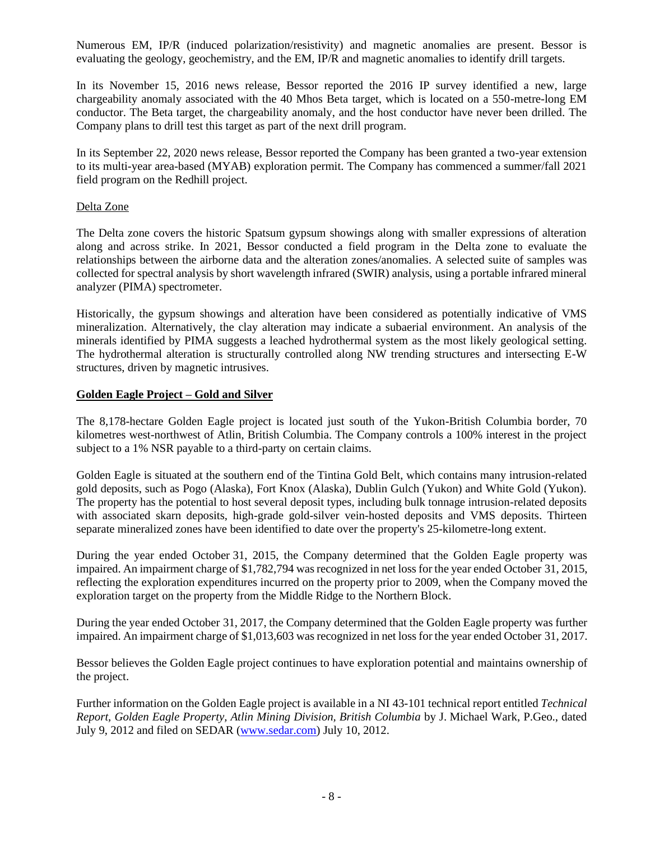Numerous EM, IP/R (induced polarization/resistivity) and magnetic anomalies are present. Bessor is evaluating the geology, geochemistry, and the EM, IP/R and magnetic anomalies to identify drill targets.

In its November 15, 2016 news release, Bessor reported the 2016 IP survey identified a new, large chargeability anomaly associated with the 40 Mhos Beta target, which is located on a 550-metre-long EM conductor. The Beta target, the chargeability anomaly, and the host conductor have never been drilled. The Company plans to drill test this target as part of the next drill program.

In its September 22, 2020 news release, Bessor reported the Company has been granted a two-year extension to its multi-year area-based (MYAB) exploration permit. The Company has commenced a summer/fall 2021 field program on the Redhill project.

#### Delta Zone

The Delta zone covers the historic Spatsum gypsum showings along with smaller expressions of alteration along and across strike. In 2021, Bessor conducted a field program in the Delta zone to evaluate the relationships between the airborne data and the alteration zones/anomalies. A selected suite of samples was collected for spectral analysis by short wavelength infrared (SWIR) analysis, using a portable infrared mineral analyzer (PIMA) spectrometer.

Historically, the gypsum showings and alteration have been considered as potentially indicative of VMS mineralization. Alternatively, the clay alteration may indicate a subaerial environment. An analysis of the minerals identified by PIMA suggests a leached hydrothermal system as the most likely geological setting. The hydrothermal alteration is structurally controlled along NW trending structures and intersecting E-W structures, driven by magnetic intrusives.

#### **Golden Eagle Project – Gold and Silver**

The 8,178-hectare Golden Eagle project is located just south of the Yukon-British Columbia border, 70 kilometres west-northwest of Atlin, British Columbia. The Company controls a 100% interest in the project subject to a 1% NSR payable to a third-party on certain claims.

Golden Eagle is situated at the southern end of the Tintina Gold Belt, which contains many intrusion-related gold deposits, such as Pogo (Alaska), Fort Knox (Alaska), Dublin Gulch (Yukon) and White Gold (Yukon). The property has the potential to host several deposit types, including bulk tonnage intrusion-related deposits with associated skarn deposits, high-grade gold-silver vein-hosted deposits and VMS deposits. Thirteen separate mineralized zones have been identified to date over the property's 25-kilometre-long extent.

During the year ended October 31, 2015, the Company determined that the Golden Eagle property was impaired. An impairment charge of \$1,782,794 was recognized in net loss for the year ended October 31, 2015, reflecting the exploration expenditures incurred on the property prior to 2009, when the Company moved the exploration target on the property from the Middle Ridge to the Northern Block.

During the year ended October 31, 2017, the Company determined that the Golden Eagle property was further impaired. An impairment charge of \$1,013,603 was recognized in net loss for the year ended October 31, 2017.

Bessor believes the Golden Eagle project continues to have exploration potential and maintains ownership of the project.

Further information on the Golden Eagle project is available in a NI 43-101 technical report entitled *Technical Report, Golden Eagle Property, Atlin Mining Division, British Columbia* by J. Michael Wark, P.Geo., dated July 9, 2012 and filed on SEDAR [\(www.sedar.com\)](about:blank) July 10, 2012.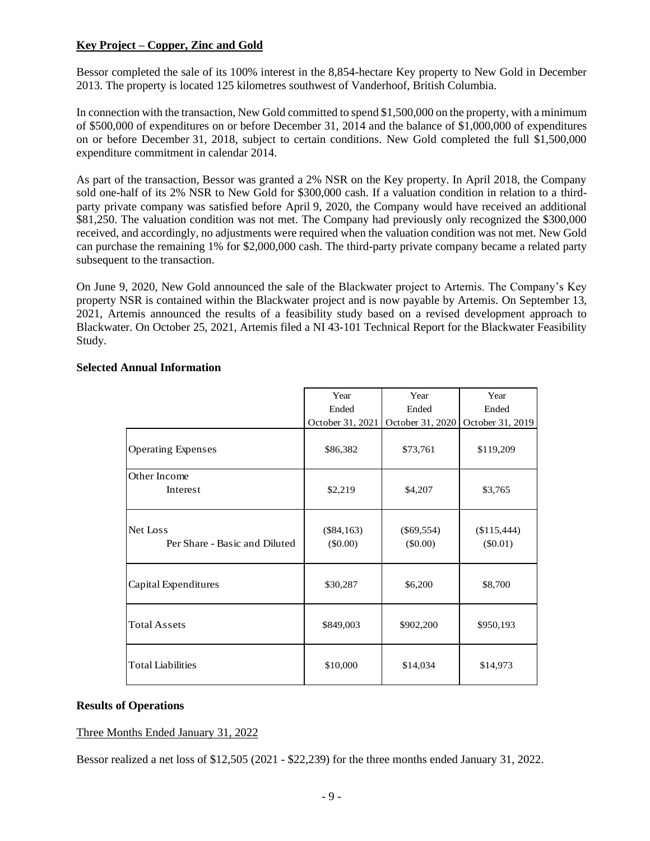# **Key Project – Copper, Zinc and Gold**

Bessor completed the sale of its 100% interest in the 8,854-hectare Key property to New Gold in December 2013. The property is located 125 kilometres southwest of Vanderhoof, British Columbia.

In connection with the transaction, New Gold committed to spend \$1,500,000 on the property, with a minimum of \$500,000 of expenditures on or before December 31, 2014 and the balance of \$1,000,000 of expenditures on or before December 31, 2018, subject to certain conditions. New Gold completed the full \$1,500,000 expenditure commitment in calendar 2014.

As part of the transaction, Bessor was granted a 2% NSR on the Key property. In April 2018, the Company sold one-half of its 2% NSR to New Gold for \$300,000 cash. If a valuation condition in relation to a thirdparty private company was satisfied before April 9, 2020, the Company would have received an additional \$81,250. The valuation condition was not met. The Company had previously only recognized the \$300,000 received, and accordingly, no adjustments were required when the valuation condition was not met. New Gold can purchase the remaining 1% for \$2,000,000 cash. The third-party private company became a related party subsequent to the transaction.

On June 9, 2020, New Gold announced the sale of the Blackwater project to Artemis. The Company's Key property NSR is contained within the Blackwater project and is now payable by Artemis. On September 13, 2021, Artemis announced the results of a feasibility study based on a revised development approach to Blackwater. On October 25, 2021, Artemis filed a NI 43-101 Technical Report for the Blackwater Feasibility Study.

|  | <b>Selected Annual Information</b> |  |
|--|------------------------------------|--|
|  |                                    |  |

|                               | Year             | Year             | Year             |
|-------------------------------|------------------|------------------|------------------|
|                               | Ended            | Ended            | Ended            |
|                               | October 31, 2021 | October 31, 2020 | October 31, 2019 |
| <b>Operating Expenses</b>     | \$86,382         | \$73,761         | \$119,209        |
| Other Income                  |                  |                  |                  |
| Interest                      | \$2,219          | \$4,207          | \$3,765          |
|                               |                  |                  |                  |
| Net Loss                      | $(\$84,163)$     | $(\$69,554)$     | (\$115,444)      |
| Per Share - Basic and Diluted | $(\$0.00)$       | $(\$0.00)$       | $(\$0.01)$       |
| Capital Expenditures          | \$30,287         | \$6,200          | \$8,700          |
|                               |                  |                  |                  |
| <b>Total Assets</b>           | \$849,003        | \$902,200        | \$950,193        |
| <b>Total Liabilities</b>      | \$10,000         | \$14,034         | \$14,973         |

## **Results of Operations**

## Three Months Ended January 31, 2022

Bessor realized a net loss of \$12,505 (2021 - \$22,239) for the three months ended January 31, 2022.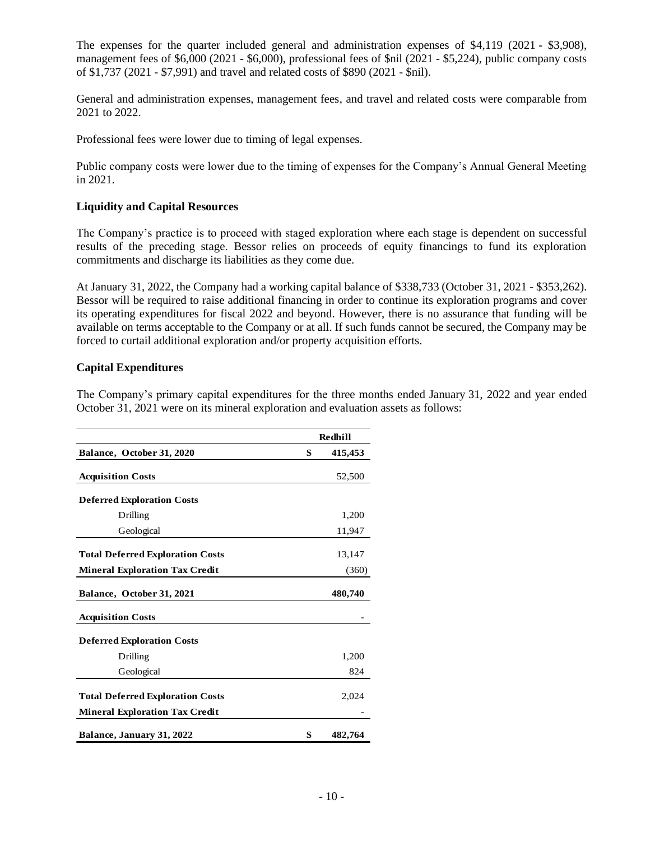The expenses for the quarter included general and administration expenses of \$4,119 (2021 - \$3,908), management fees of \$6,000 (2021 - \$6,000), professional fees of \$nil (2021 - \$5,224), public company costs of \$1,737 (2021 - \$7,991) and travel and related costs of \$890 (2021 - \$nil).

General and administration expenses, management fees, and travel and related costs were comparable from 2021 to 2022.

Professional fees were lower due to timing of legal expenses.

Public company costs were lower due to the timing of expenses for the Company's Annual General Meeting in 2021.

## **Liquidity and Capital Resources**

The Company's practice is to proceed with staged exploration where each stage is dependent on successful results of the preceding stage. Bessor relies on proceeds of equity financings to fund its exploration commitments and discharge its liabilities as they come due.

At January 31, 2022, the Company had a working capital balance of \$338,733 (October 31, 2021 - \$353,262). Bessor will be required to raise additional financing in order to continue its exploration programs and cover its operating expenditures for fiscal 2022 and beyond. However, there is no assurance that funding will be available on terms acceptable to the Company or at all. If such funds cannot be secured, the Company may be forced to curtail additional exploration and/or property acquisition efforts.

#### **Capital Expenditures**

The Company's primary capital expenditures for the three months ended January 31, 2022 and year ended October 31, 2021 were on its mineral exploration and evaluation assets as follows:

|                                         | Redhill       |
|-----------------------------------------|---------------|
| Balance, October 31, 2020               | \$<br>415,453 |
| <b>Acquisition Costs</b>                | 52,500        |
| <b>Deferred Exploration Costs</b>       |               |
| Drilling                                | 1,200         |
| Geological                              | 11,947        |
| <b>Total Deferred Exploration Costs</b> | 13,147        |
| <b>Mineral Exploration Tax Credit</b>   | (360)         |
| Balance, October 31, 2021               | 480,740       |
| <b>Acquisition Costs</b>                |               |
| <b>Deferred Exploration Costs</b>       |               |
| Drilling                                | 1,200         |
| Geological                              | 824           |
| <b>Total Deferred Exploration Costs</b> | 2,024         |
| <b>Mineral Exploration Tax Credit</b>   |               |
| Balance, January 31, 2022               | \$<br>482,764 |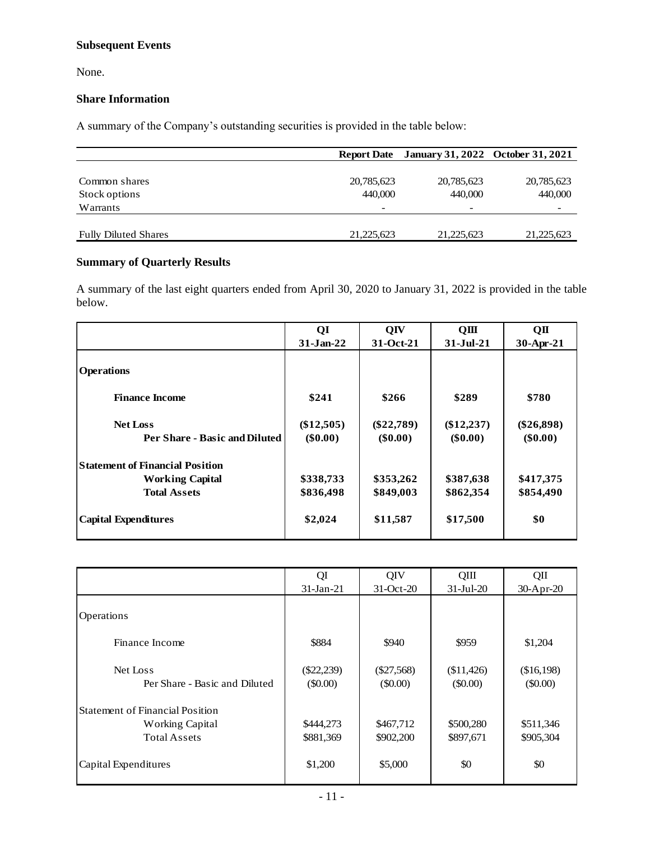# **Subsequent Events**

None.

# **Share Information**

A summary of the Company's outstanding securities is provided in the table below:

|                             |              | Report Date January 31, 2022 October 31, 2021 |            |
|-----------------------------|--------------|-----------------------------------------------|------------|
|                             |              |                                               |            |
| Common shares               | 20,785,623   | 20,785,623                                    | 20,785,623 |
| Stock options               | 440,000      | 440,000                                       | 440,000    |
| Warrants                    | -            |                                               |            |
|                             |              |                                               |            |
| <b>Fully Diluted Shares</b> | 21, 225, 623 | 21, 225, 623                                  | 21,225,623 |

# **Summary of Quarterly Results**

A summary of the last eight quarters ended from April 30, 2020 to January 31, 2022 is provided in the table below.

|                                        | QI           | QIV          | QIII         | QП           |
|----------------------------------------|--------------|--------------|--------------|--------------|
|                                        | $31-Jan-22$  | 31-Oct-21    | $31-Jul-21$  | 30-Apr-21    |
| <b>Operations</b>                      |              |              |              |              |
| <b>Finance Income</b>                  | \$241        | \$266        | \$289        | \$780        |
| <b>Net Loss</b>                        | $(\$12,505)$ | $(\$22,789)$ | $(\$12,237)$ | $(\$26,898)$ |
| Per Share - Basic and Diluted          | $(\$0.00)$   | $(\$0.00)$   | $(\$0.00)$   | $(\$0.00)$   |
| <b>Statement of Financial Position</b> |              |              |              |              |
| <b>Working Capital</b>                 | \$338,733    | \$353,262    | \$387,638    | \$417,375    |
| <b>Total Assets</b>                    | \$836,498    | \$849,003    | \$862,354    | \$854,490    |
| <b>Capital Expenditures</b>            | \$2,024      | \$11,587     | \$17,500     | \$0          |

|                                        | QI           | QIV          | QIII            | QШ         |
|----------------------------------------|--------------|--------------|-----------------|------------|
|                                        | $31$ -Jan-21 | 31-Oct-20    | $31 - Ju1 - 20$ | 30-Apr-20  |
|                                        |              |              |                 |            |
| Operations                             |              |              |                 |            |
|                                        |              |              |                 |            |
| Finance Income                         | \$884        | \$940        | \$959           | \$1,204    |
|                                        |              |              |                 |            |
| Net Loss                               | $(\$22,239)$ | $(\$27,568)$ | (\$11,426)      | (\$16,198) |
| Per Share - Basic and Diluted          | (\$0.00)     | $($ \$0.00)  | $(\$0.00)$      | $(\$0.00)$ |
| <b>Statement of Financial Position</b> |              |              |                 |            |
| <b>Working Capital</b>                 | \$444,273    | \$467,712    | \$500,280       | \$511,346  |
| <b>Total Assets</b>                    | \$881,369    | \$902,200    | \$897,671       | \$905,304  |
|                                        |              |              |                 |            |
| Capital Expenditures                   | \$1,200      | \$5,000      | \$0             | \$0        |
|                                        |              |              |                 |            |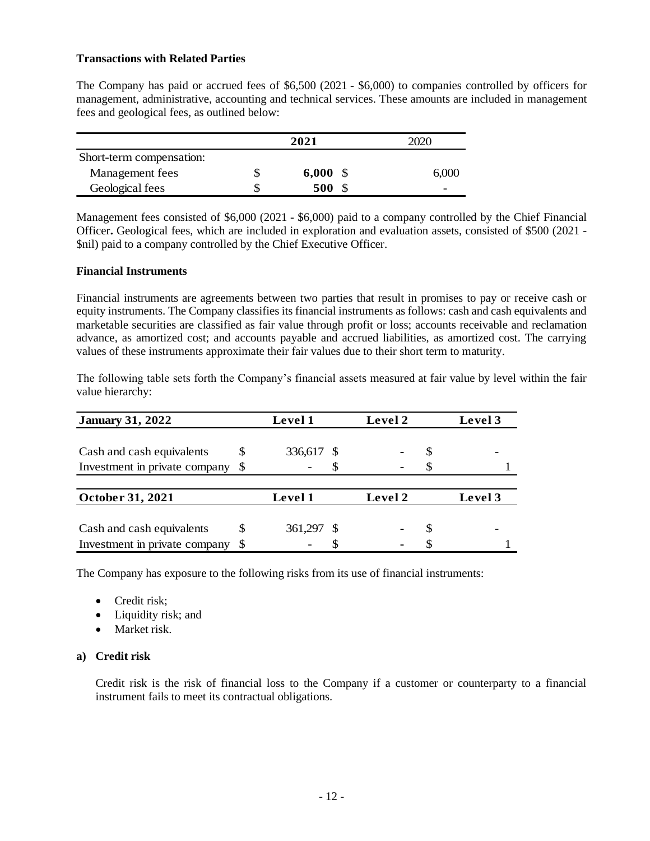## **Transactions with Related Parties**

The Company has paid or accrued fees of \$6,500 (2021 - \$6,000) to companies controlled by officers for management, administrative, accounting and technical services. These amounts are included in management fees and geological fees, as outlined below:

|                          | 2021        | 2020 |       |
|--------------------------|-------------|------|-------|
| Short-term compensation: |             |      |       |
| Management fees          | \$<br>6,000 |      | 6,000 |
| Geological fees          | 500         |      | -     |

Management fees consisted of \$6,000 (2021 - \$6,000) paid to a company controlled by the Chief Financial Officer**.** Geological fees, which are included in exploration and evaluation assets, consisted of \$500 (2021 - \$nil) paid to a company controlled by the Chief Executive Officer.

#### **Financial Instruments**

Financial instruments are agreements between two parties that result in promises to pay or receive cash or equity instruments. The Company classifies its financial instruments as follows: cash and cash equivalents and marketable securities are classified as fair value through profit or loss; accounts receivable and reclamation advance, as amortized cost; and accounts payable and accrued liabilities, as amortized cost. The carrying values of these instruments approximate their fair values due to their short term to maturity.

The following table sets forth the Company's financial assets measured at fair value by level within the fair value hierarchy:

| <b>January 31, 2022</b>       |          | <b>Level 1</b> | Level 2 |     | Level 3 |
|-------------------------------|----------|----------------|---------|-----|---------|
|                               |          |                |         |     |         |
| Cash and cash equivalents     | S        | 336,617 \$     |         | \$. |         |
| Investment in private company | -S       | S              |         |     |         |
|                               |          |                |         |     |         |
| October 31, 2021              |          | Level 1        | Level 2 |     | Level 3 |
|                               |          |                |         |     |         |
| Cash and cash equivalents     | S        | 361,297 \$     |         | æ,  |         |
| Investment in private company | <b>S</b> |                |         |     |         |

The Company has exposure to the following risks from its use of financial instruments:

- Credit risk:
- Liquidity risk; and
- Market risk.

## **a) Credit risk**

Credit risk is the risk of financial loss to the Company if a customer or counterparty to a financial instrument fails to meet its contractual obligations.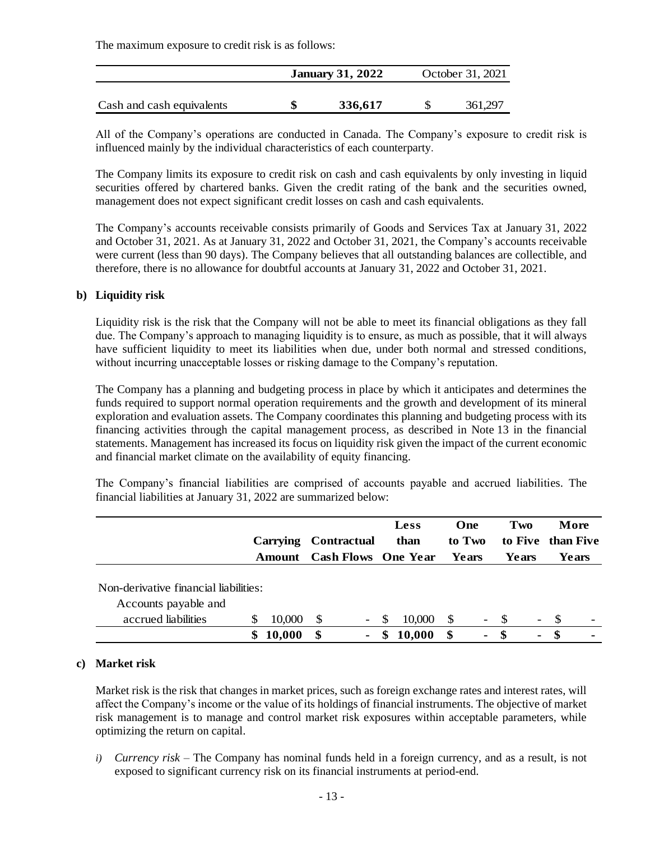The maximum exposure to credit risk is as follows:

|                           | <b>January 31, 2022</b> | October 31, 2021 |         |  |  |
|---------------------------|-------------------------|------------------|---------|--|--|
| Cash and cash equivalents | 336,617                 |                  | 361.297 |  |  |

All of the Company's operations are conducted in Canada. The Company's exposure to credit risk is influenced mainly by the individual characteristics of each counterparty.

The Company limits its exposure to credit risk on cash and cash equivalents by only investing in liquid securities offered by chartered banks. Given the credit rating of the bank and the securities owned, management does not expect significant credit losses on cash and cash equivalents.

The Company's accounts receivable consists primarily of Goods and Services Tax at January 31, 2022 and October 31, 2021. As at January 31, 2022 and October 31, 2021, the Company's accounts receivable were current (less than 90 days). The Company believes that all outstanding balances are collectible, and therefore, there is no allowance for doubtful accounts at January 31, 2022 and October 31, 2021.

## **b) Liquidity risk**

Liquidity risk is the risk that the Company will not be able to meet its financial obligations as they fall due. The Company's approach to managing liquidity is to ensure, as much as possible, that it will always have sufficient liquidity to meet its liabilities when due, under both normal and stressed conditions, without incurring unacceptable losses or risking damage to the Company's reputation.

The Company has a planning and budgeting process in place by which it anticipates and determines the funds required to support normal operation requirements and the growth and development of its mineral exploration and evaluation assets. The Company coordinates this planning and budgeting process with its financing activities through the capital management process, as described in Note 13 in the financial statements. Management has increased its focus on liquidity risk given the impact of the current economic and financial market climate on the availability of equity financing.

The Company's financial liabilities are comprised of accounts payable and accrued liabilities. The financial liabilities at January 31, 2022 are summarized below:

|                                       |               | <b>Carrying</b> |     | <b>Contractual</b>         |               | <b>Less</b><br>than | One<br>to Two |                          | Two<br>to Five than Five |                          |      | More                     |
|---------------------------------------|---------------|-----------------|-----|----------------------------|---------------|---------------------|---------------|--------------------------|--------------------------|--------------------------|------|--------------------------|
|                                       |               | Amount          |     | <b>Cash Flows</b> One Year |               |                     | Years         |                          | Years                    |                          |      | Years                    |
| Non-derivative financial liabilities: |               |                 |     |                            |               |                     |               |                          |                          |                          |      |                          |
| Accounts payable and                  |               |                 |     |                            |               |                     |               |                          |                          |                          |      |                          |
| accrued liabilities                   | <sup>\$</sup> | 10,000          | \$. | $\overline{\phantom{a}}$   | <sup>\$</sup> | 10,000              | -S            | $\overline{\phantom{a}}$ | $\mathcal{S}$            | $\overline{\phantom{a}}$ | -S   | $\overline{\phantom{0}}$ |
|                                       |               | 10,000          | \$  | ۰                          |               | 10,000              | \$            | $\blacksquare$           | \$                       | $\blacksquare$           | - \$ | $\blacksquare$           |

#### **c) Market risk**

Market risk is the risk that changes in market prices, such as foreign exchange rates and interest rates, will affect the Company's income or the value of its holdings of financial instruments. The objective of market risk management is to manage and control market risk exposures within acceptable parameters, while optimizing the return on capital.

*i) Currency risk –* The Company has nominal funds held in a foreign currency, and as a result, is not exposed to significant currency risk on its financial instruments at period-end.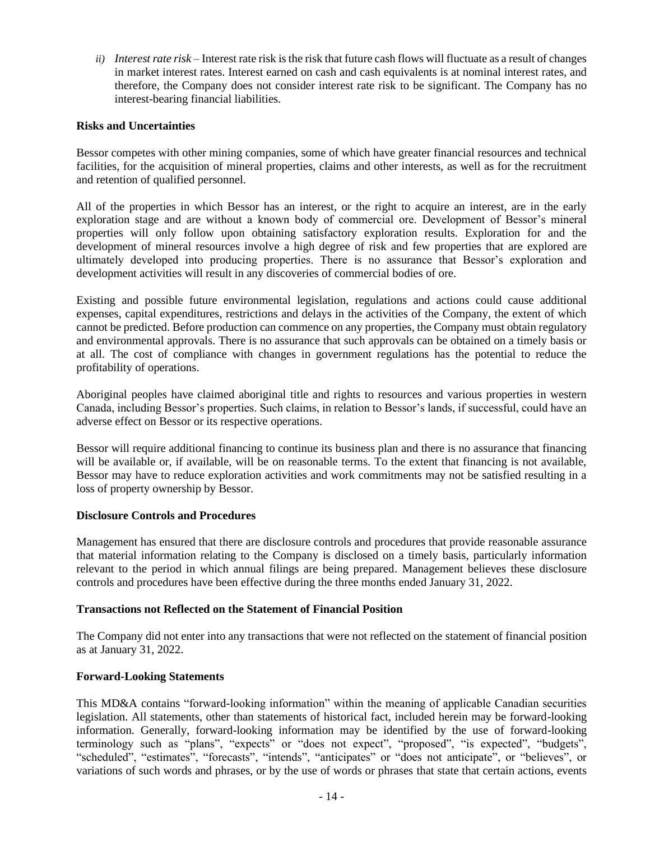*ii) Interest rate risk –* Interest rate risk is the risk that future cash flows will fluctuate as a result of changes in market interest rates. Interest earned on cash and cash equivalents is at nominal interest rates, and therefore, the Company does not consider interest rate risk to be significant. The Company has no interest-bearing financial liabilities.

## **Risks and Uncertainties**

Bessor competes with other mining companies, some of which have greater financial resources and technical facilities, for the acquisition of mineral properties, claims and other interests, as well as for the recruitment and retention of qualified personnel.

All of the properties in which Bessor has an interest, or the right to acquire an interest, are in the early exploration stage and are without a known body of commercial ore. Development of Bessor's mineral properties will only follow upon obtaining satisfactory exploration results. Exploration for and the development of mineral resources involve a high degree of risk and few properties that are explored are ultimately developed into producing properties. There is no assurance that Bessor's exploration and development activities will result in any discoveries of commercial bodies of ore.

Existing and possible future environmental legislation, regulations and actions could cause additional expenses, capital expenditures, restrictions and delays in the activities of the Company, the extent of which cannot be predicted. Before production can commence on any properties, the Company must obtain regulatory and environmental approvals. There is no assurance that such approvals can be obtained on a timely basis or at all. The cost of compliance with changes in government regulations has the potential to reduce the profitability of operations.

Aboriginal peoples have claimed aboriginal title and rights to resources and various properties in western Canada, including Bessor's properties. Such claims, in relation to Bessor's lands, if successful, could have an adverse effect on Bessor or its respective operations.

Bessor will require additional financing to continue its business plan and there is no assurance that financing will be available or, if available, will be on reasonable terms. To the extent that financing is not available, Bessor may have to reduce exploration activities and work commitments may not be satisfied resulting in a loss of property ownership by Bessor.

## **Disclosure Controls and Procedures**

Management has ensured that there are disclosure controls and procedures that provide reasonable assurance that material information relating to the Company is disclosed on a timely basis, particularly information relevant to the period in which annual filings are being prepared. Management believes these disclosure controls and procedures have been effective during the three months ended January 31, 2022.

## **Transactions not Reflected on the Statement of Financial Position**

The Company did not enter into any transactions that were not reflected on the statement of financial position as at January 31, 2022.

## **Forward-Looking Statements**

This MD&A contains "forward-looking information" within the meaning of applicable Canadian securities legislation. All statements, other than statements of historical fact, included herein may be forward-looking information. Generally, forward-looking information may be identified by the use of forward-looking terminology such as "plans", "expects" or "does not expect", "proposed", "is expected", "budgets", "scheduled", "estimates", "forecasts", "intends", "anticipates" or "does not anticipate", or "believes", or variations of such words and phrases, or by the use of words or phrases that state that certain actions, events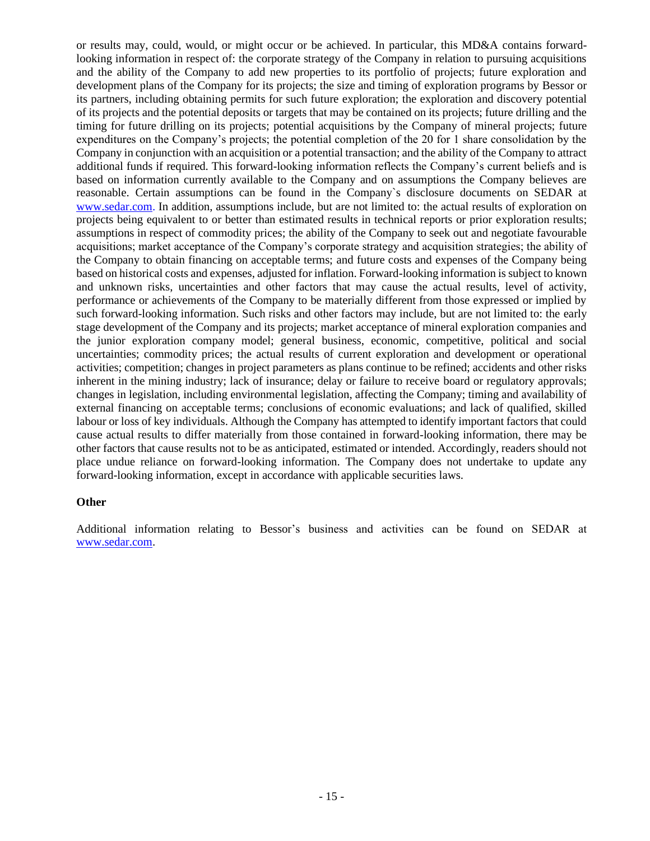or results may, could, would, or might occur or be achieved. In particular, this MD&A contains forwardlooking information in respect of: the corporate strategy of the Company in relation to pursuing acquisitions and the ability of the Company to add new properties to its portfolio of projects; future exploration and development plans of the Company for its projects; the size and timing of exploration programs by Bessor or its partners, including obtaining permits for such future exploration; the exploration and discovery potential of its projects and the potential deposits or targets that may be contained on its projects; future drilling and the timing for future drilling on its projects; potential acquisitions by the Company of mineral projects; future expenditures on the Company's projects; the potential completion of the 20 for 1 share consolidation by the Company in conjunction with an acquisition or a potential transaction; and the ability of the Company to attract additional funds if required. This forward-looking information reflects the Company's current beliefs and is based on information currently available to the Company and on assumptions the Company believes are reasonable. Certain assumptions can be found in the Company`s disclosure documents on SEDAR at [www.sedar.com.](about:blank) In addition, assumptions include, but are not limited to: the actual results of exploration on projects being equivalent to or better than estimated results in technical reports or prior exploration results; assumptions in respect of commodity prices; the ability of the Company to seek out and negotiate favourable acquisitions; market acceptance of the Company's corporate strategy and acquisition strategies; the ability of the Company to obtain financing on acceptable terms; and future costs and expenses of the Company being based on historical costs and expenses, adjusted for inflation. Forward-looking information is subject to known and unknown risks, uncertainties and other factors that may cause the actual results, level of activity, performance or achievements of the Company to be materially different from those expressed or implied by such forward-looking information. Such risks and other factors may include, but are not limited to: the early stage development of the Company and its projects; market acceptance of mineral exploration companies and the junior exploration company model; general business, economic, competitive, political and social uncertainties; commodity prices; the actual results of current exploration and development or operational activities; competition; changes in project parameters as plans continue to be refined; accidents and other risks inherent in the mining industry; lack of insurance; delay or failure to receive board or regulatory approvals; changes in legislation, including environmental legislation, affecting the Company; timing and availability of external financing on acceptable terms; conclusions of economic evaluations; and lack of qualified, skilled labour or loss of key individuals. Although the Company has attempted to identify important factors that could cause actual results to differ materially from those contained in forward-looking information, there may be other factors that cause results not to be as anticipated, estimated or intended. Accordingly, readers should not place undue reliance on forward-looking information. The Company does not undertake to update any forward-looking information, except in accordance with applicable securities laws.

#### **Other**

Additional information relating to Bessor's business and activities can be found on SEDAR at [www.sedar.com.](about:blank)